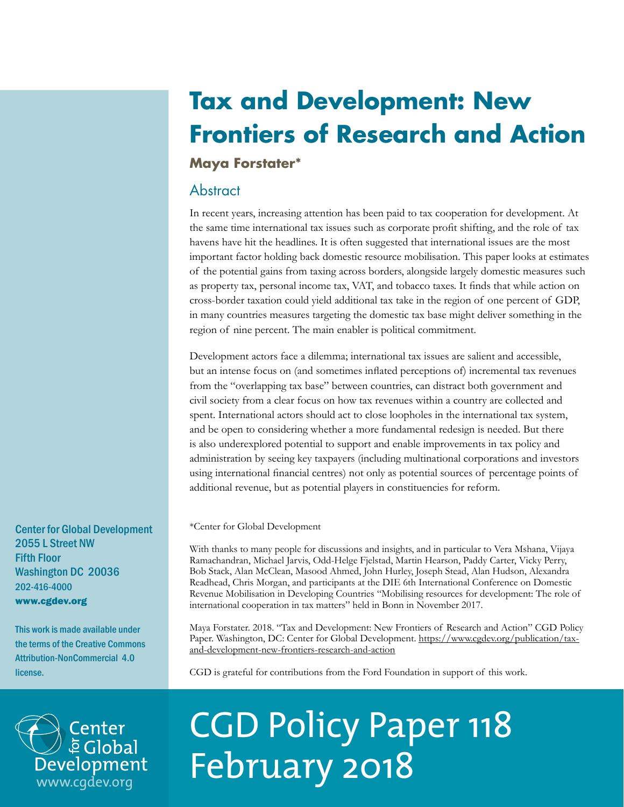## **Tax and Development: New Frontiers of Research and Action**

## **Maya Forstater\***

## Abstract

In recent years, increasing attention has been paid to tax cooperation for development. At the same time international tax issues such as corporate profit shifting, and the role of tax havens have hit the headlines. It is often suggested that international issues are the most important factor holding back domestic resource mobilisation. This paper looks at estimates of the potential gains from taxing across borders, alongside largely domestic measures such as property tax, personal income tax, VAT, and tobacco taxes. It finds that while action on cross-border taxation could yield additional tax take in the region of one percent of GDP, in many countries measures targeting the domestic tax base might deliver something in the region of nine percent. The main enabler is political commitment.

Development actors face a dilemma; international tax issues are salient and accessible, but an intense focus on (and sometimes inflated perceptions of) incremental tax revenues from the "overlapping tax base" between countries, can distract both government and civil society from a clear focus on how tax revenues within a country are collected and spent. International actors should act to close loopholes in the international tax system, and be open to considering whether a more fundamental redesign is needed. But there is also underexplored potential to support and enable improvements in tax policy and administration by seeing key taxpayers (including multinational corporations and investors using international financial centres) not only as potential sources of percentage points of additional revenue, but as potential players in constituencies for reform.

\*Center for Global Development

With thanks to many people for discussions and insights, and in particular to Vera Mshana, Vijaya Ramachandran, Michael Jarvis, Odd-Helge Fjelstad, Martin Hearson, Paddy Carter, Vicky Perry, Bob Stack, Alan McClean, Masood Ahmed, John Hurley, Joseph Stead, Alan Hudson, Alexandra Readhead, Chris Morgan, and participants at the DIE 6th International Conference on Domestic Revenue Mobilisation in Developing Countries "Mobilising resources for development: The role of international cooperation in tax matters" held in Bonn in November 2017.

Maya Forstater. 2018. "Tax and Development: New Frontiers of Research and Action" CGD Policy Paper. Washington, DC: Center for Global Development. [https://www.cgdev.org/publication/tax](https://www.cgdev.org/publication/tax-and-development-new-frontiers-research-and-action)[and-development-new-frontiers-research-and-action](https://www.cgdev.org/publication/tax-and-development-new-frontiers-research-and-action)

CGD is grateful for contributions from the Ford Foundation in support of this work.



# CGD Policy Paper 118 February 2018

Center for Global Development 2055 L Street NW Fifth Floor Washington DC 20036 202-416-4000 www.cgdev.org

This work is made available under the terms of the Creative Commons Attribution-NonCommercial 4.0 license.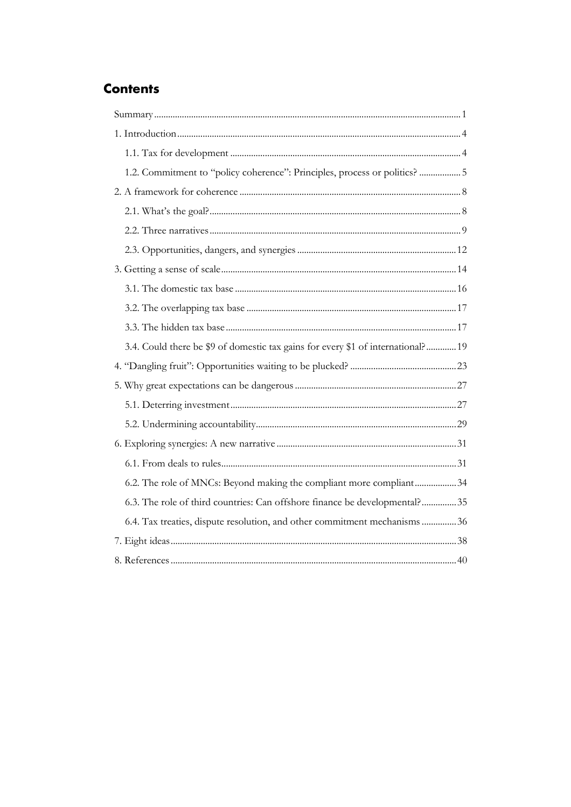## **Contents**

| 1.2. Commitment to "policy coherence": Principles, process or politics?  5       |
|----------------------------------------------------------------------------------|
|                                                                                  |
|                                                                                  |
|                                                                                  |
|                                                                                  |
|                                                                                  |
|                                                                                  |
|                                                                                  |
|                                                                                  |
| 3.4. Could there be \$9 of domestic tax gains for every \$1 of international? 19 |
|                                                                                  |
|                                                                                  |
|                                                                                  |
|                                                                                  |
|                                                                                  |
|                                                                                  |
| 6.2. The role of MNCs: Beyond making the compliant more compliant34              |
| 6.3. The role of third countries: Can offshore finance be developmental?35       |
| 6.4. Tax treaties, dispute resolution, and other commitment mechanisms  36       |
|                                                                                  |
|                                                                                  |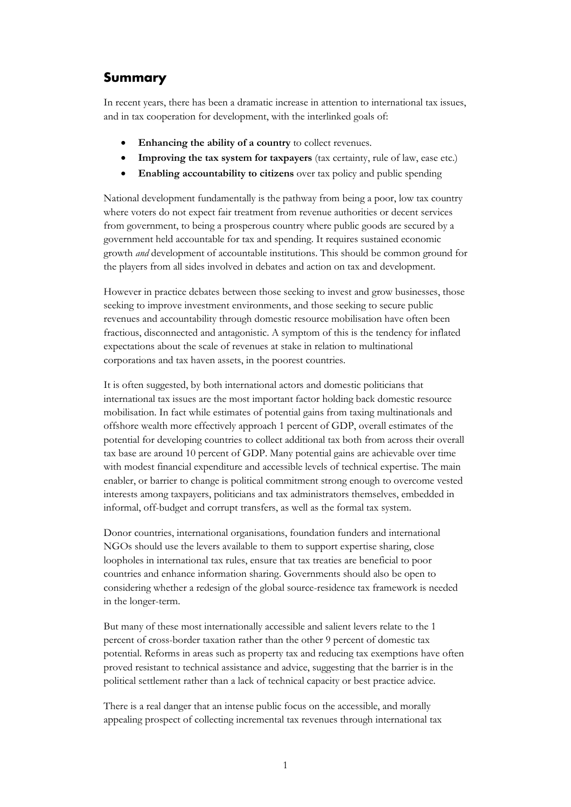## <span id="page-2-0"></span>**Summary**

In recent years, there has been a dramatic increase in attention to international tax issues, and in tax cooperation for development, with the interlinked goals of:

- **Enhancing the ability of a country** to collect revenues.
- **Improving the tax system for taxpayers** (tax certainty, rule of law, ease etc.)
- **Enabling accountability to citizens** over tax policy and public spending

National development fundamentally is the pathway from being a poor, low tax country where voters do not expect fair treatment from revenue authorities or decent services from government, to being a prosperous country where public goods are secured by a government held accountable for tax and spending. It requires sustained economic growth *and* development of accountable institutions. This should be common ground for the players from all sides involved in debates and action on tax and development.

However in practice debates between those seeking to invest and grow businesses, those seeking to improve investment environments, and those seeking to secure public revenues and accountability through domestic resource mobilisation have often been fractious, disconnected and antagonistic. A symptom of this is the tendency for inflated expectations about the scale of revenues at stake in relation to multinational corporations and tax haven assets, in the poorest countries.

It is often suggested, by both international actors and domestic politicians that international tax issues are the most important factor holding back domestic resource mobilisation. In fact while estimates of potential gains from taxing multinationals and offshore wealth more effectively approach 1 percent of GDP, overall estimates of the potential for developing countries to collect additional tax both from across their overall tax base are around 10 percent of GDP. Many potential gains are achievable over time with modest financial expenditure and accessible levels of technical expertise. The main enabler, or barrier to change is political commitment strong enough to overcome vested interests among taxpayers, politicians and tax administrators themselves, embedded in informal, off-budget and corrupt transfers, as well as the formal tax system.

Donor countries, international organisations, foundation funders and international NGOs should use the levers available to them to support expertise sharing, close loopholes in international tax rules, ensure that tax treaties are beneficial to poor countries and enhance information sharing. Governments should also be open to considering whether a redesign of the global source-residence tax framework is needed in the longer-term.

But many of these most internationally accessible and salient levers relate to the 1 percent of cross-border taxation rather than the other 9 percent of domestic tax potential. Reforms in areas such as property tax and reducing tax exemptions have often proved resistant to technical assistance and advice, suggesting that the barrier is in the political settlement rather than a lack of technical capacity or best practice advice.

There is a real danger that an intense public focus on the accessible, and morally appealing prospect of collecting incremental tax revenues through international tax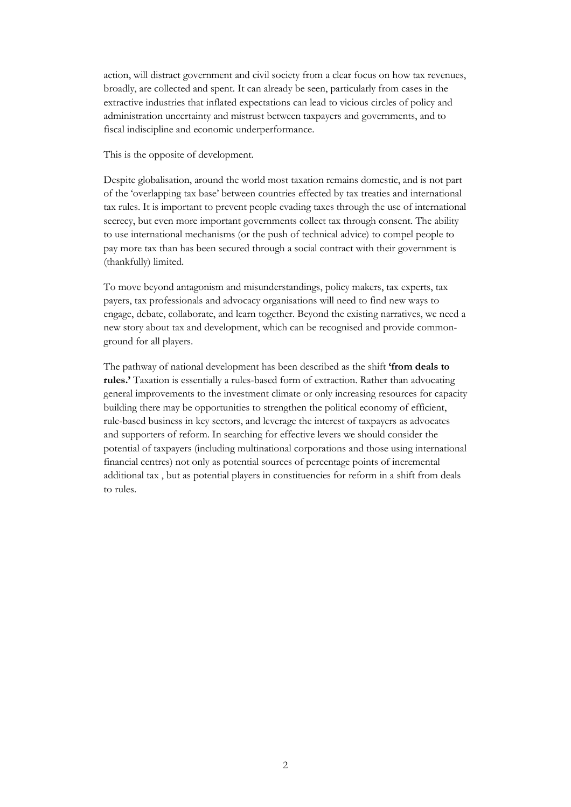action, will distract government and civil society from a clear focus on how tax revenues, broadly, are collected and spent. It can already be seen, particularly from cases in the extractive industries that inflated expectations can lead to vicious circles of policy and administration uncertainty and mistrust between taxpayers and governments, and to fiscal indiscipline and economic underperformance.

This is the opposite of development.

Despite globalisation, around the world most taxation remains domestic, and is not part of the 'overlapping tax base' between countries effected by tax treaties and international tax rules. It is important to prevent people evading taxes through the use of international secrecy, but even more important governments collect tax through consent. The ability to use international mechanisms (or the push of technical advice) to compel people to pay more tax than has been secured through a social contract with their government is (thankfully) limited.

To move beyond antagonism and misunderstandings, policy makers, tax experts, tax payers, tax professionals and advocacy organisations will need to find new ways to engage, debate, collaborate, and learn together. Beyond the existing narratives, we need a new story about tax and development, which can be recognised and provide commonground for all players.

The pathway of national development has been described as the shift **'from deals to rules.'** Taxation is essentially a rules-based form of extraction. Rather than advocating general improvements to the investment climate or only increasing resources for capacity building there may be opportunities to strengthen the political economy of efficient, rule-based business in key sectors, and leverage the interest of taxpayers as advocates and supporters of reform. In searching for effective levers we should consider the potential of taxpayers (including multinational corporations and those using international financial centres) not only as potential sources of percentage points of incremental additional tax , but as potential players in constituencies for reform in a shift from deals to rules.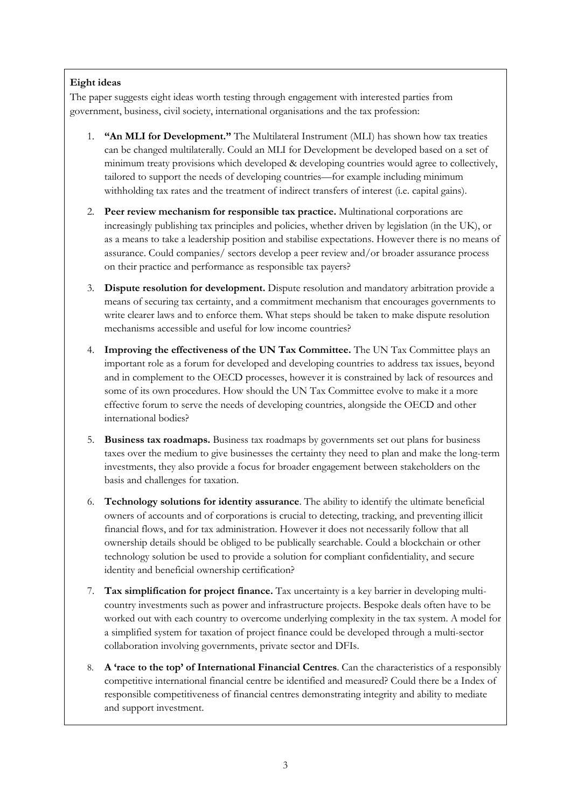#### **Eight ideas**

The paper suggests eight ideas worth testing through engagement with interested parties from government, business, civil society, international organisations and the tax profession:

- 1. **"An MLI for Development."** The Multilateral Instrument (MLI) has shown how tax treaties can be changed multilaterally. Could an MLI for Development be developed based on a set of minimum treaty provisions which developed & developing countries would agree to collectively, tailored to support the needs of developing countries—for example including minimum withholding tax rates and the treatment of indirect transfers of interest (i.e. capital gains).
- 2. **Peer review mechanism for responsible tax practice.** Multinational corporations are increasingly publishing tax principles and policies, whether driven by legislation (in the UK), or as a means to take a leadership position and stabilise expectations. However there is no means of assurance. Could companies/ sectors develop a peer review and/or broader assurance process on their practice and performance as responsible tax payers?
- 3. **Dispute resolution for development.** Dispute resolution and mandatory arbitration provide a means of securing tax certainty, and a commitment mechanism that encourages governments to write clearer laws and to enforce them. What steps should be taken to make dispute resolution mechanisms accessible and useful for low income countries?
- 4. **Improving the effectiveness of the UN Tax Committee.** The UN Tax Committee plays an important role as a forum for developed and developing countries to address tax issues, beyond and in complement to the OECD processes, however it is constrained by lack of resources and some of its own procedures. How should the UN Tax Committee evolve to make it a more effective forum to serve the needs of developing countries, alongside the OECD and other international bodies?
- 5. **Business tax roadmaps.** Business tax roadmaps by governments set out plans for business taxes over the medium to give businesses the certainty they need to plan and make the long-term investments, they also provide a focus for broader engagement between stakeholders on the basis and challenges for taxation.
- 6. **Technology solutions for identity assurance**. The ability to identify the ultimate beneficial owners of accounts and of corporations is crucial to detecting, tracking, and preventing illicit financial flows, and for tax administration. However it does not necessarily follow that all ownership details should be obliged to be publically searchable. Could a blockchain or other technology solution be used to provide a solution for compliant confidentiality, and secure identity and beneficial ownership certification?
- 7. **Tax simplification for project finance.** Tax uncertainty is a key barrier in developing multicountry investments such as power and infrastructure projects. Bespoke deals often have to be worked out with each country to overcome underlying complexity in the tax system. A model for a simplified system for taxation of project finance could be developed through a multi-sector collaboration involving governments, private sector and DFIs.
- 8. **A 'race to the top' of International Financial Centres**. Can the characteristics of a responsibly competitive international financial centre be identified and measured? Could there be a Index of responsible competitiveness of financial centres demonstrating integrity and ability to mediate and support investment.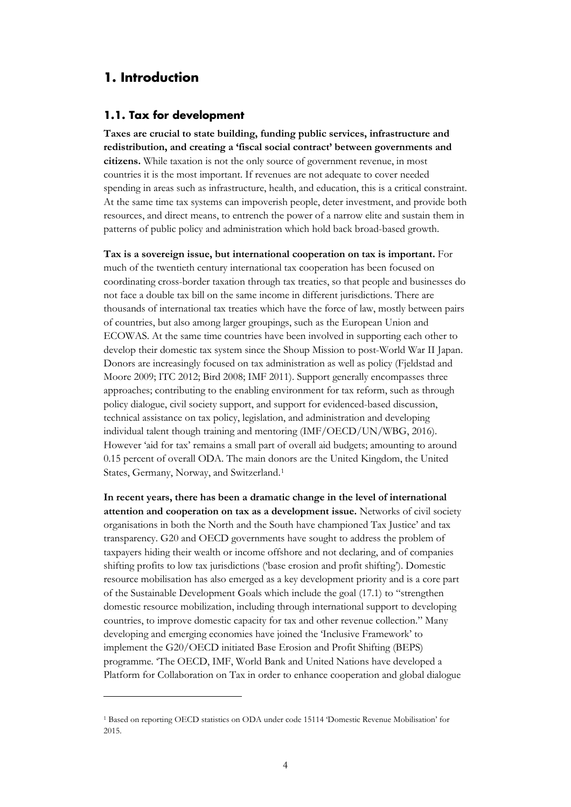### <span id="page-5-0"></span>**1. Introduction**

 $\ddot{\phantom{a}}$ 

#### <span id="page-5-1"></span>**1.1. Tax for development**

**Taxes are crucial to state building, funding public services, infrastructure and redistribution, and creating a 'fiscal social contract' between governments and citizens.** While taxation is not the only source of government revenue, in most countries it is the most important. If revenues are not adequate to cover needed spending in areas such as infrastructure, health, and education, this is a critical constraint. At the same time tax systems can impoverish people, deter investment, and provide both resources, and direct means, to entrench the power of a narrow elite and sustain them in patterns of public policy and administration which hold back broad-based growth.

**Tax is a sovereign issue, but international cooperation on tax is important.** For much of the twentieth century international tax cooperation has been focused on coordinating cross-border taxation through tax treaties, so that people and businesses do not face a double tax bill on the same income in different jurisdictions. There are thousands of international tax treaties which have the force of law, mostly between pairs of countries, but also among larger groupings, such as the European Union and ECOWAS. At the same time countries have been involved in supporting each other to develop their domestic tax system since the Shoup Mission to post-World War II Japan. Donors are increasingly focused on tax administration as well as policy (Fjeldstad and Moore 2009; ITC 2012; Bird 2008; IMF 2011). Support generally encompasses three approaches; contributing to the enabling environment for tax reform, such as through policy dialogue, civil society support, and support for evidenced-based discussion, technical assistance on tax policy, legislation, and administration and developing individual talent though training and mentoring (IMF/OECD/UN/WBG, 2016). However 'aid for tax' remains a small part of overall aid budgets; amounting to around 0.15 percent of overall ODA. The main donors are the United Kingdom, the United States, Germany, Norway, and Switzerland.[1](#page-5-2)

**In recent years, there has been a dramatic change in the level of international attention and cooperation on tax as a development issue.** Networks of civil society organisations in both the North and the South have championed Tax Justice' and tax transparency. G20 and OECD governments have sought to address the problem of taxpayers hiding their wealth or income offshore and not declaring, and of companies shifting profits to low tax jurisdictions ('base erosion and profit shifting'). Domestic resource mobilisation has also emerged as a key development priority and is a core part of the Sustainable Development Goals which include the goal (17.1) to "strengthen domestic resource mobilization, including through international support to developing countries, to improve domestic capacity for tax and other revenue collection." Many developing and emerging economies have joined the 'Inclusive Framework' to implement the G20/OECD initiated Base Erosion and Profit Shifting (BEPS) programme. 'The OECD, IMF, World Bank and United Nations have developed a Platform for Collaboration on Tax in order to enhance cooperation and global dialogue

<span id="page-5-2"></span><sup>1</sup> Based on reporting OECD statistics on ODA under code 15114 'Domestic Revenue Mobilisation' for 2015.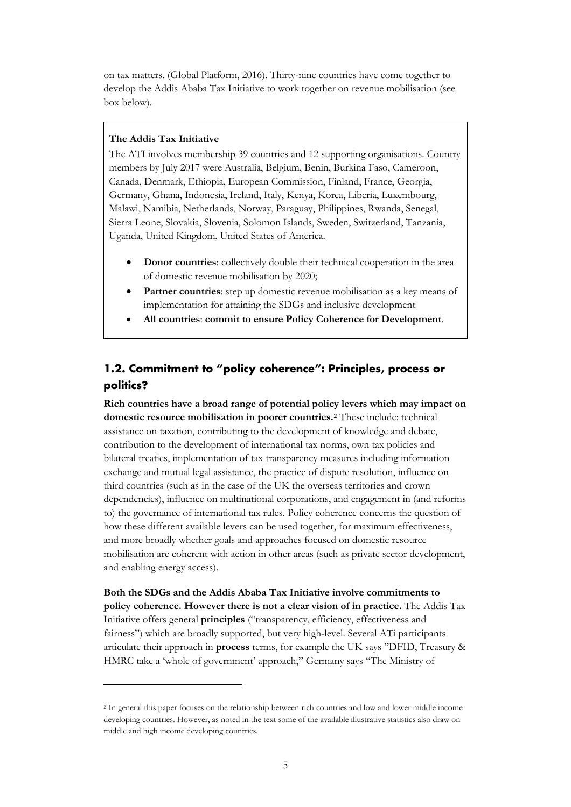on tax matters. (Global Platform, 2016). Thirty-nine countries have come together to develop the Addis Ababa Tax Initiative to work together on revenue mobilisation (see box below).

#### **The Addis Tax Initiative**

1

The ATI involves membership 39 countries and 12 supporting organisations. Country members by July 2017 were Australia, Belgium, Benin, Burkina Faso, Cameroon, Canada, Denmark, Ethiopia, European Commission, Finland, France, Georgia, Germany, Ghana, Indonesia, Ireland, Italy, Kenya, Korea, Liberia, Luxembourg, Malawi, Namibia, Netherlands, Norway, Paraguay, Philippines, Rwanda, Senegal, Sierra Leone, Slovakia, Slovenia, Solomon Islands, Sweden, Switzerland, Tanzania, Uganda, United Kingdom, United States of America.

- **Donor countries**: collectively double their technical cooperation in the area of domestic revenue mobilisation by 2020;
- **Partner countries**: step up domestic revenue mobilisation as a key means of implementation for attaining the SDGs and inclusive development
- **All countries**: **commit to ensure Policy Coherence for Development**.

## <span id="page-6-0"></span>**1.2. Commitment to "policy coherence": Principles, process or politics?**

**Rich countries have a broad range of potential policy levers which may impact on domestic resource mobilisation in poorer countries.[2](#page-6-1)** These include: technical assistance on taxation, contributing to the development of knowledge and debate, contribution to the development of international tax norms, own tax policies and bilateral treaties, implementation of tax transparency measures including information exchange and mutual legal assistance, the practice of dispute resolution, influence on third countries (such as in the case of the UK the overseas territories and crown dependencies), influence on multinational corporations, and engagement in (and reforms to) the governance of international tax rules. Policy coherence concerns the question of how these different available levers can be used together, for maximum effectiveness, and more broadly whether goals and approaches focused on domestic resource mobilisation are coherent with action in other areas (such as private sector development, and enabling energy access).

**Both the SDGs and the Addis Ababa Tax Initiative involve commitments to policy coherence. However there is not a clear vision of in practice.** The Addis Tax Initiative offers general **principles** ("transparency, efficiency, effectiveness and fairness") which are broadly supported, but very high-level. Several ATi participants articulate their approach in **process** terms, for example the UK says "DFID, Treasury & HMRC take a 'whole of government' approach," Germany says "The Ministry of

<span id="page-6-1"></span><sup>2</sup> In general this paper focuses on the relationship between rich countries and low and lower middle income developing countries. However, as noted in the text some of the available illustrative statistics also draw on middle and high income developing countries.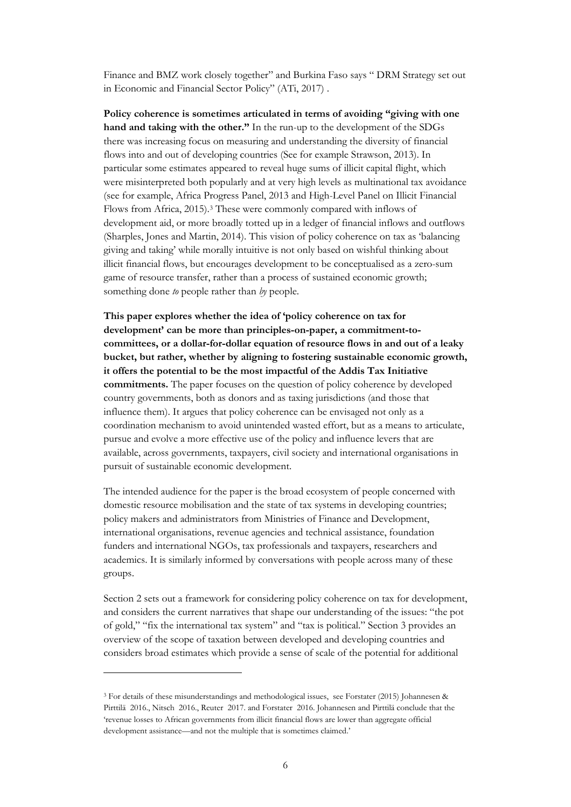Finance and BMZ work closely together" and Burkina Faso says " DRM Strategy set out in Economic and Financial Sector Policy" (ATi, 2017) .

**Policy coherence is sometimes articulated in terms of avoiding "giving with one hand and taking with the other."** In the run-up to the development of the SDGs there was increasing focus on measuring and understanding the diversity of financial flows into and out of developing countries (See for example Strawson, 2013). In particular some estimates appeared to reveal huge sums of illicit capital flight, which were misinterpreted both popularly and at very high levels as multinational tax avoidance (see for example, Africa Progress Panel, 2013 and High-Level Panel on Illicit Financial Flows from Africa, 2015).<sup>[3](#page-7-0)</sup> These were commonly compared with inflows of development aid, or more broadly totted up in a ledger of financial inflows and outflows (Sharples, Jones and Martin, 2014). This vision of policy coherence on tax as 'balancing giving and taking' while morally intuitive is not only based on wishful thinking about illicit financial flows, but encourages development to be conceptualised as a zero-sum game of resource transfer, rather than a process of sustained economic growth; something done *to* people rather than *by* people.

**This paper explores whether the idea of 'policy coherence on tax for development' can be more than principles-on-paper, a commitment-tocommittees, or a dollar-for-dollar equation of resource flows in and out of a leaky bucket, but rather, whether by aligning to fostering sustainable economic growth, it offers the potential to be the most impactful of the Addis Tax Initiative commitments.** The paper focuses on the question of policy coherence by developed country governments, both as donors and as taxing jurisdictions (and those that influence them). It argues that policy coherence can be envisaged not only as a coordination mechanism to avoid unintended wasted effort, but as a means to articulate, pursue and evolve a more effective use of the policy and influence levers that are available, across governments, taxpayers, civil society and international organisations in pursuit of sustainable economic development.

The intended audience for the paper is the broad ecosystem of people concerned with domestic resource mobilisation and the state of tax systems in developing countries; policy makers and administrators from Ministries of Finance and Development, international organisations, revenue agencies and technical assistance, foundation funders and international NGOs, tax professionals and taxpayers, researchers and academics. It is similarly informed by conversations with people across many of these groups.

Section 2 sets out a framework for considering policy coherence on tax for development, and considers the current narratives that shape our understanding of the issues: "the pot of gold," "fix the international tax system" and "tax is political." Section 3 provides an overview of the scope of taxation between developed and developing countries and considers broad estimates which provide a sense of scale of the potential for additional

 $\ddot{\phantom{a}}$ 

<span id="page-7-0"></span><sup>3</sup> For details of these misunderstandings and methodological issues, see Forstater (2015) Johannesen & Pirttilä 2016., Nitsch 2016., Reuter 2017. and Forstater 2016. Johannesen and Pirttilä conclude that the 'revenue losses to African governments from illicit financial flows are lower than aggregate official development assistance—and not the multiple that is sometimes claimed.'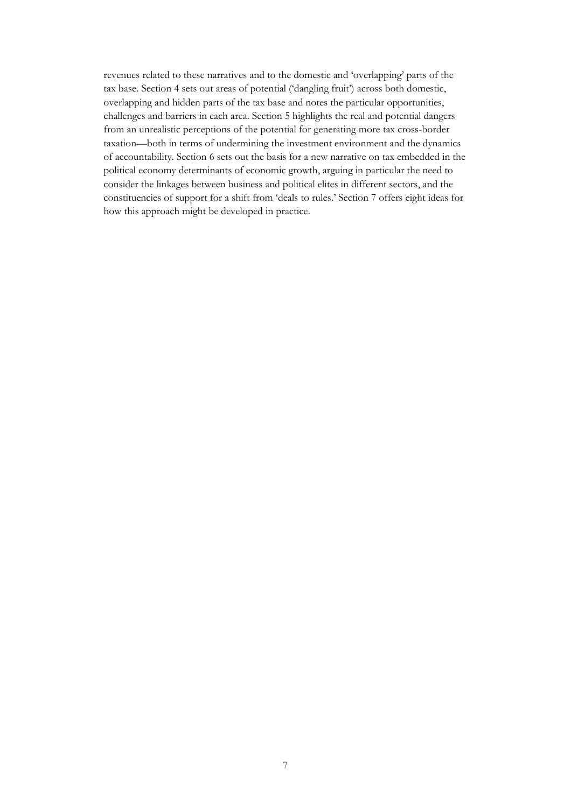revenues related to these narratives and to the domestic and 'overlapping' parts of the tax base. Section 4 sets out areas of potential ('dangling fruit') across both domestic, overlapping and hidden parts of the tax base and notes the particular opportunities, challenges and barriers in each area. Section 5 highlights the real and potential dangers from an unrealistic perceptions of the potential for generating more tax cross-border taxation—both in terms of undermining the investment environment and the dynamics of accountability. Section 6 sets out the basis for a new narrative on tax embedded in the political economy determinants of economic growth, arguing in particular the need to consider the linkages between business and political elites in different sectors, and the constituencies of support for a shift from 'deals to rules.' Section 7 offers eight ideas for how this approach might be developed in practice.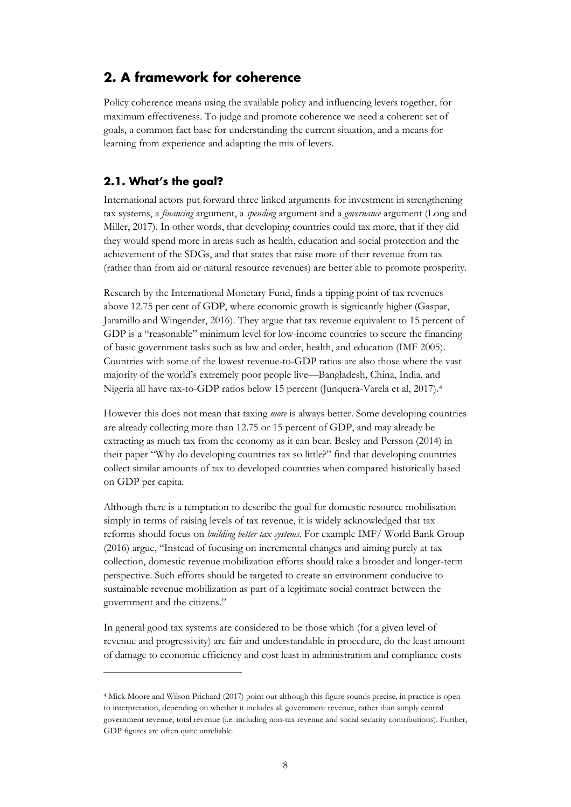## <span id="page-9-0"></span>**2. A framework for coherence**

Policy coherence means using the available policy and influencing levers together, for maximum effectiveness. To judge and promote coherence we need a coherent set of goals, a common fact base for understanding the current situation, and a means for learning from experience and adapting the mix of levers.

#### <span id="page-9-1"></span>**2.1. What's the goal?**

 $\ddot{\phantom{a}}$ 

International actors put forward three linked arguments for investment in strengthening tax systems, a *financing* argument, a *spending* argument and a *governance* argument (Long and Miller, 2017). In other words, that developing countries could tax more, that if they did they would spend more in areas such as health, education and social protection and the achievement of the SDGs, and that states that raise more of their revenue from tax (rather than from aid or natural resource revenues) are better able to promote prosperity.

Research by the International Monetary Fund, finds a tipping point of tax revenues above 12.75 per cent of GDP, where economic growth is signicantly higher (Gaspar, Jaramillo and Wingender, 2016). They argue that tax revenue equivalent to 15 percent of GDP is a "reasonable" minimum level for low-income countries to secure the financing of basic government tasks such as law and order, health, and education (IMF 2005). Countries with some of the lowest revenue-to-GDP ratios are also those where the vast majority of the world's extremely poor people live—Bangladesh, China, India, and Nigeria all have tax-to-GDP ratios below 15 percent (Junquera-Varela et al, 2017).[4](#page-9-2)

However this does not mean that taxing *more* is always better. Some developing countries are already collecting more than 12.75 or 15 percent of GDP, and may already be extracting as much tax from the economy as it can bear. Besley and Persson (2014) in their paper "Why do developing countries tax so little?" find that developing countries collect similar amounts of tax to developed countries when compared historically based on GDP per capita.

Although there is a temptation to describe the goal for domestic resource mobilisation simply in terms of raising levels of tax revenue, it is widely acknowledged that tax reforms should focus on *building better tax systems*. For example IMF/ World Bank Group (2016) argue, "Instead of focusing on incremental changes and aiming purely at tax collection, domestic revenue mobilization efforts should take a broader and longer-term perspective. Such efforts should be targeted to create an environment conducive to sustainable revenue mobilization as part of a legitimate social contract between the government and the citizens."

In general good tax systems are considered to be those which (for a given level of revenue and progressivity) are fair and understandable in procedure, do the least amount of damage to economic efficiency and cost least in administration and compliance costs

<span id="page-9-2"></span><sup>4</sup> Mick Moore and Wilson Prichard (2017) point out although this figure sounds precise, in practice is open to interpretation, depending on whether it includes all government revenue, rather than simply central government revenue, total revenue (i.e. including non-tax revenue and social security contributions). Further, GDP figures are often quite unreliable.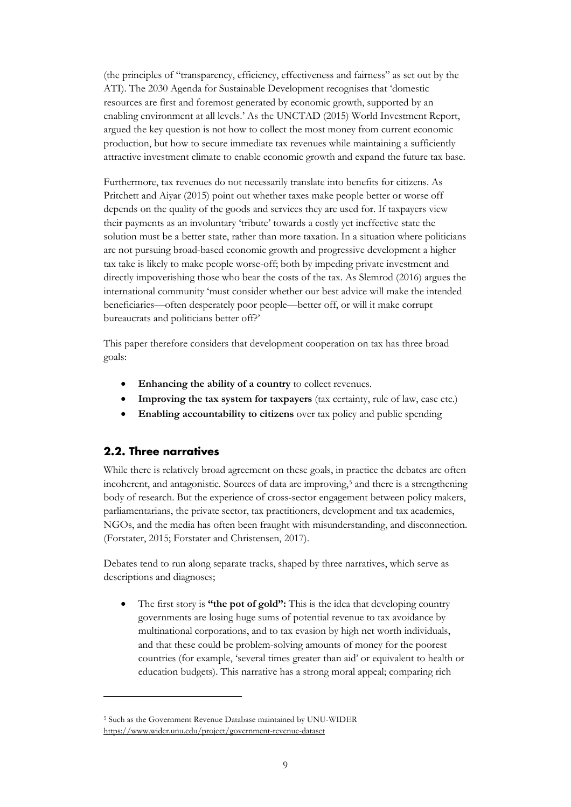(the principles of "transparency, efficiency, effectiveness and fairness" as set out by the ATI). The 2030 Agenda for Sustainable Development recognises that 'domestic resources are first and foremost generated by economic growth, supported by an enabling environment at all levels.' As the UNCTAD (2015) World Investment Report, argued the key question is not how to collect the most money from current economic production, but how to secure immediate tax revenues while maintaining a sufficiently attractive investment climate to enable economic growth and expand the future tax base.

Furthermore, tax revenues do not necessarily translate into benefits for citizens. As Pritchett and Aiyar (2015) point out whether taxes make people better or worse off depends on the quality of the goods and services they are used for. If taxpayers view their payments as an involuntary 'tribute' towards a costly yet ineffective state the solution must be a better state, rather than more taxation. In a situation where politicians are not pursuing broad-based economic growth and progressive development a higher tax take is likely to make people worse-off; both by impeding private investment and directly impoverishing those who bear the costs of the tax. As Slemrod (2016) argues the international community 'must consider whether our best advice will make the intended beneficiaries—often desperately poor people—better off, or will it make corrupt bureaucrats and politicians better off?'

This paper therefore considers that development cooperation on tax has three broad goals:

- **Enhancing the ability of a country** to collect revenues.
- **Improving the tax system for taxpayers** (tax certainty, rule of law, ease etc.)
- **Enabling accountability to citizens** over tax policy and public spending

#### <span id="page-10-0"></span>**2.2. Three narratives**

 $\ddot{\phantom{a}}$ 

While there is relatively broad agreement on these goals, in practice the debates are often incoherent, and antagonistic. Sources of data are improving,[5](#page-10-1) and there is a strengthening body of research. But the experience of cross-sector engagement between policy makers, parliamentarians, the private sector, tax practitioners, development and tax academics, NGOs, and the media has often been fraught with misunderstanding, and disconnection. (Forstater, 2015; Forstater and Christensen, 2017).

Debates tend to run along separate tracks, shaped by three narratives, which serve as descriptions and diagnoses;

• The first story is **"the pot of gold":** This is the idea that developing country governments are losing huge sums of potential revenue to tax avoidance by multinational corporations, and to tax evasion by high net worth individuals, and that these could be problem-solving amounts of money for the poorest countries (for example, 'several times greater than aid' or equivalent to health or education budgets). This narrative has a strong moral appeal; comparing rich

<span id="page-10-1"></span><sup>5</sup> Such as the Government Revenue Database maintained by UNU-WIDER <https://www.wider.unu.edu/project/government-revenue-dataset>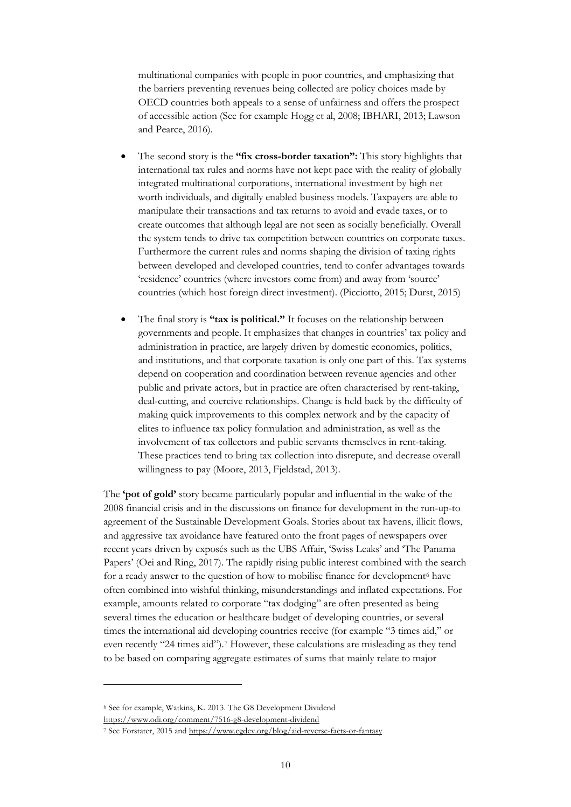multinational companies with people in poor countries, and emphasizing that the barriers preventing revenues being collected are policy choices made by OECD countries both appeals to a sense of unfairness and offers the prospect of accessible action (See for example Hogg et al, 2008; IBHARI, 2013; Lawson and Pearce, 2016).

- The second story is the **"fix cross-border taxation":** This story highlights that international tax rules and norms have not kept pace with the reality of globally integrated multinational corporations, international investment by high net worth individuals, and digitally enabled business models. Taxpayers are able to manipulate their transactions and tax returns to avoid and evade taxes, or to create outcomes that although legal are not seen as socially beneficially. Overall the system tends to drive tax competition between countries on corporate taxes. Furthermore the current rules and norms shaping the division of taxing rights between developed and developed countries, tend to confer advantages towards 'residence' countries (where investors come from) and away from 'source' countries (which host foreign direct investment). (Picciotto, 2015; Durst, 2015)
- The final story is **"tax is political."** It focuses on the relationship between governments and people. It emphasizes that changes in countries' tax policy and administration in practice, are largely driven by domestic economics, politics, and institutions, and that corporate taxation is only one part of this. Tax systems depend on cooperation and coordination between revenue agencies and other public and private actors, but in practice are often characterised by rent-taking, deal-cutting, and coercive relationships. Change is held back by the difficulty of making quick improvements to this complex network and by the capacity of elites to influence tax policy formulation and administration, as well as the involvement of tax collectors and public servants themselves in rent-taking. These practices tend to bring tax collection into disrepute, and decrease overall willingness to pay (Moore, 2013, Fjeldstad, 2013).

The **'pot of gold'** story became particularly popular and influential in the wake of the 2008 financial crisis and in the discussions on finance for development in the run-up-to agreement of the Sustainable Development Goals. Stories about tax havens, illicit flows, and aggressive tax avoidance have featured onto the front pages of newspapers over recent years driven by exposés such as the UBS Affair, 'Swiss Leaks' and 'The Panama Papers' (Oei and Ring, 2017). The rapidly rising public interest combined with the search for a ready answer to the question of how to mobilise finance for development<sup>[6](#page-11-0)</sup> have often combined into wishful thinking, misunderstandings and inflated expectations. For example, amounts related to corporate "tax dodging" are often presented as being several times the education or healthcare budget of developing countries, or several times the international aid developing countries receive (for example "3 times aid," or even recently "24 times aid").[7](#page-11-1) However, these calculations are misleading as they tend to be based on comparing aggregate estimates of sums that mainly relate to major

<https://www.odi.org/comment/7516-g8-development-dividend>

1

<span id="page-11-0"></span><sup>6</sup> See for example, Watkins, K. 2013. The G8 Development Dividend

<span id="page-11-1"></span><sup>7</sup> See Forstater, 2015 and<https://www.cgdev.org/blog/aid-reverse-facts-or-fantasy>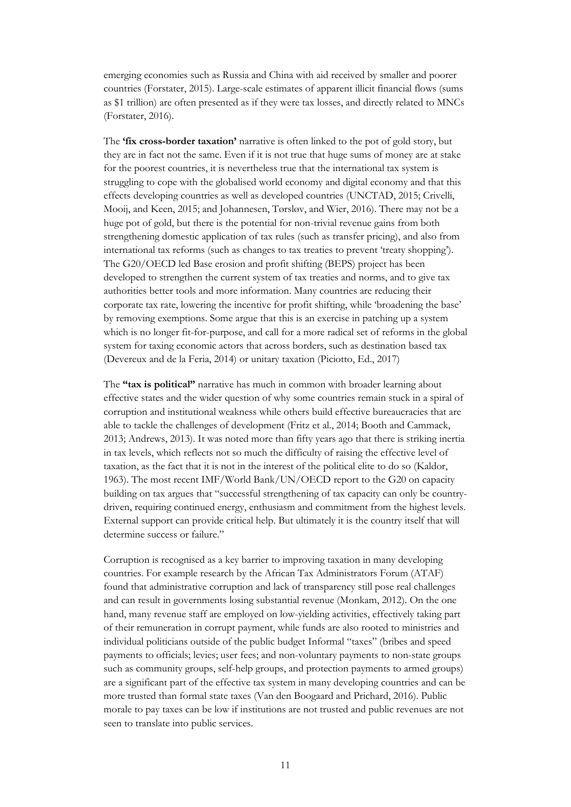emerging economies such as Russia and China with aid received by smaller and poorer countries (Forstater, 2015). Large-scale estimates of apparent illicit financial flows (sums as \$1 trillion) are often presented as if they were tax losses, and directly related to MNCs (Forstater, 2016).

The **'fix cross-border taxation'** narrative is often linked to the pot of gold story, but they are in fact not the same. Even if it is not true that huge sums of money are at stake for the poorest countries, it is nevertheless true that the international tax system is struggling to cope with the globalised world economy and digital economy and that this effects developing countries as well as developed countries (UNCTAD, 2015; Crivelli, Mooij, and Keen, 2015; and Johannesen, Tørsløv, and Wier, 2016). There may not be a huge pot of gold, but there is the potential for non-trivial revenue gains from both strengthening domestic application of tax rules (such as transfer pricing), and also from international tax reforms (such as changes to tax treaties to prevent 'treaty shopping'). The G20/OECD led Base erosion and profit shifting (BEPS) project has been developed to strengthen the current system of tax treaties and norms, and to give tax authorities better tools and more information. Many countries are reducing their corporate tax rate, lowering the incentive for profit shifting, while 'broadening the base' by removing exemptions. Some argue that this is an exercise in patching up a system which is no longer fit-for-purpose, and call for a more radical set of reforms in the global system for taxing economic actors that across borders, such as destination based tax (Devereux and de la Feria, 2014) or unitary taxation (Piciotto, Ed., 2017)

The **"tax is political"** narrative has much in common with broader learning about effective states and the wider question of why some countries remain stuck in a spiral of corruption and institutional weakness while others build effective bureaucracies that are able to tackle the challenges of development (Fritz et al., 2014; Booth and Cammack, 2013; Andrews, 2013). It was noted more than fifty years ago that there is striking inertia in tax levels, which reflects not so much the difficulty of raising the effective level of taxation, as the fact that it is not in the interest of the political elite to do so (Kaldor, 1963). The most recent IMF/World Bank/UN/OECD report to the G20 on capacity building on tax argues that "successful strengthening of tax capacity can only be countrydriven, requiring continued energy, enthusiasm and commitment from the highest levels. External support can provide critical help. But ultimately it is the country itself that will determine success or failure."

Corruption is recognised as a key barrier to improving taxation in many developing countries. For example research by the African Tax Administrators Forum (ATAF) found that administrative corruption and lack of transparency still pose real challenges and can result in governments losing substantial revenue (Monkam, 2012). On the one hand, many revenue staff are employed on low-yielding activities, effectively taking part of their remuneration in corrupt payment, while funds are also rooted to ministries and individual politicians outside of the public budget Informal "taxes" (bribes and speed payments to officials; levies; user fees; and non-voluntary payments to non-state groups such as community groups, self-help groups, and protection payments to armed groups) are a significant part of the effective tax system in many developing countries and can be more trusted than formal state taxes (Van den Boogaard and Prichard, 2016). Public morale to pay taxes can be low if institutions are not trusted and public revenues are not seen to translate into public services.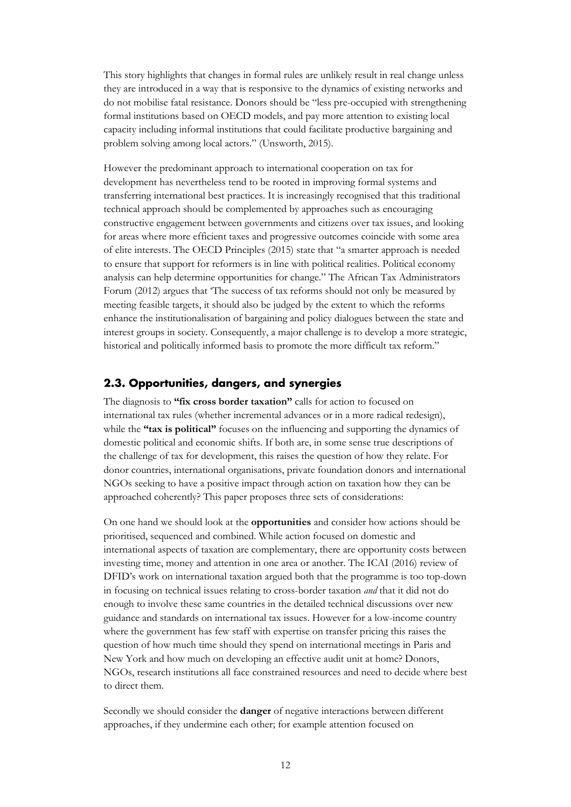This story highlights that changes in formal rules are unlikely result in real change unless they are introduced in a way that is responsive to the dynamics of existing networks and do not mobilise fatal resistance. Donors should be "less pre-occupied with strengthening formal institutions based on OECD models, and pay more attention to existing local capacity including informal institutions that could facilitate productive bargaining and problem solving among local actors." (Unsworth, 2015).

However the predominant approach to international cooperation on tax for development has nevertheless tend to be rooted in improving formal systems and transferring international best practices. It is increasingly recognised that this traditional technical approach should be complemented by approaches such as encouraging constructive engagement between governments and citizens over tax issues, and looking for areas where more efficient taxes and progressive outcomes coincide with some area of elite interests. The OECD Principles (2015) state that "a smarter approach is needed to ensure that support for reformers is in line with political realities. Political economy analysis can help determine opportunities for change." The African Tax Administrators Forum (2012) argues that 'The success of tax reforms should not only be measured by meeting feasible targets, it should also be judged by the extent to which the reforms enhance the institutionalisation of bargaining and policy dialogues between the state and interest groups in society. Consequently, a major challenge is to develop a more strategic, historical and politically informed basis to promote the more difficult tax reform."

#### <span id="page-13-0"></span>**2.3. Opportunities, dangers, and synergies**

The diagnosis to **"fix cross border taxation"** calls for action to focused on international tax rules (whether incremental advances or in a more radical redesign), while the "tax is political" focuses on the influencing and supporting the dynamics of domestic political and economic shifts. If both are, in some sense true descriptions of the challenge of tax for development, this raises the question of how they relate. For donor countries, international organisations, private foundation donors and international NGOs seeking to have a positive impact through action on taxation how they can be approached coherently? This paper proposes three sets of considerations:

On one hand we should look at the **opportunities** and consider how actions should be prioritised, sequenced and combined. While action focused on domestic and international aspects of taxation are complementary, there are opportunity costs between investing time, money and attention in one area or another. The ICAI (2016) review of DFID's work on international taxation argued both that the programme is too top-down in focusing on technical issues relating to cross-border taxation *and* that it did not do enough to involve these same countries in the detailed technical discussions over new guidance and standards on international tax issues. However for a low-income country where the government has few staff with expertise on transfer pricing this raises the question of how much time should they spend on international meetings in Paris and New York and how much on developing an effective audit unit at home? Donors, NGOs, research institutions all face constrained resources and need to decide where best to direct them.

Secondly we should consider the **danger** of negative interactions between different approaches, if they undermine each other; for example attention focused on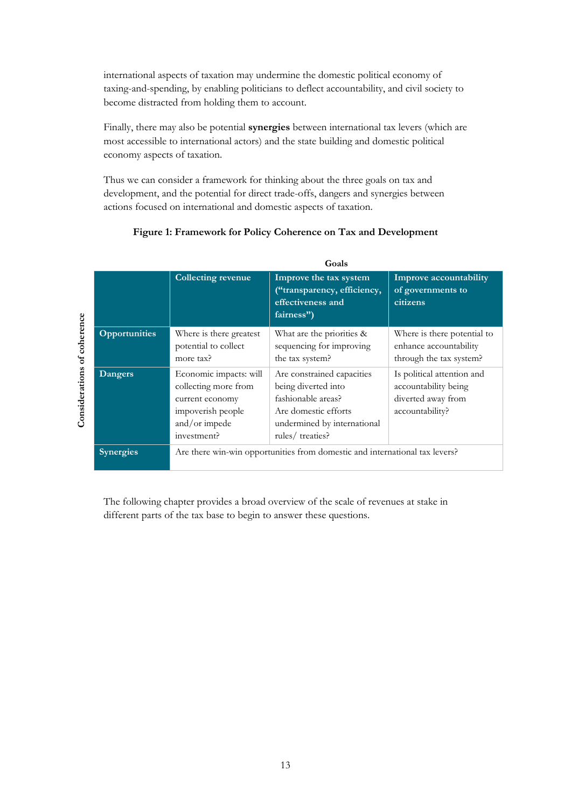international aspects of taxation may undermine the domestic political economy of taxing-and-spending, by enabling politicians to deflect accountability, and civil society to become distracted from holding them to account.

Finally, there may also be potential **synergies** between international tax levers (which are most accessible to international actors) and the state building and domestic political economy aspects of taxation.

Thus we can consider a framework for thinking about the three goals on tax and development, and the potential for direct trade-offs, dangers and synergies between actions focused on international and domestic aspects of taxation.

|                                               |                      | Goals                                                                                                                  |                                                                                                                                                   |                                                                                             |
|-----------------------------------------------|----------------------|------------------------------------------------------------------------------------------------------------------------|---------------------------------------------------------------------------------------------------------------------------------------------------|---------------------------------------------------------------------------------------------|
|                                               |                      | <b>Collecting revenue</b>                                                                                              | Improve the tax system<br>("transparency, efficiency,<br>effectiveness and<br>fairness")                                                          | Improve accountability<br>of governments to<br>citizens                                     |
| coherence<br>$\mathfrak{F}$<br>Considerations | <b>Opportunities</b> | Where is there greatest<br>potential to collect<br>more tax?                                                           | What are the priorities &<br>sequencing for improving<br>the tax system?                                                                          | Where is there potential to<br>enhance accountability<br>through the tax system?            |
|                                               | Dangers              | Economic impacts: will<br>collecting more from<br>current economy<br>impoverish people<br>and/or impede<br>investment? | Are constrained capacities<br>being diverted into<br>fashionable areas?<br>Are domestic efforts<br>undermined by international<br>rules/treaties? | Is political attention and<br>accountability being<br>diverted away from<br>accountability? |
|                                               | <b>Synergies</b>     |                                                                                                                        | Are there win-win opportunities from domestic and international tax levers?                                                                       |                                                                                             |

**Figure 1: Framework for Policy Coherence on Tax and Development**

The following chapter provides a broad overview of the scale of revenues at stake in different parts of the tax base to begin to answer these questions.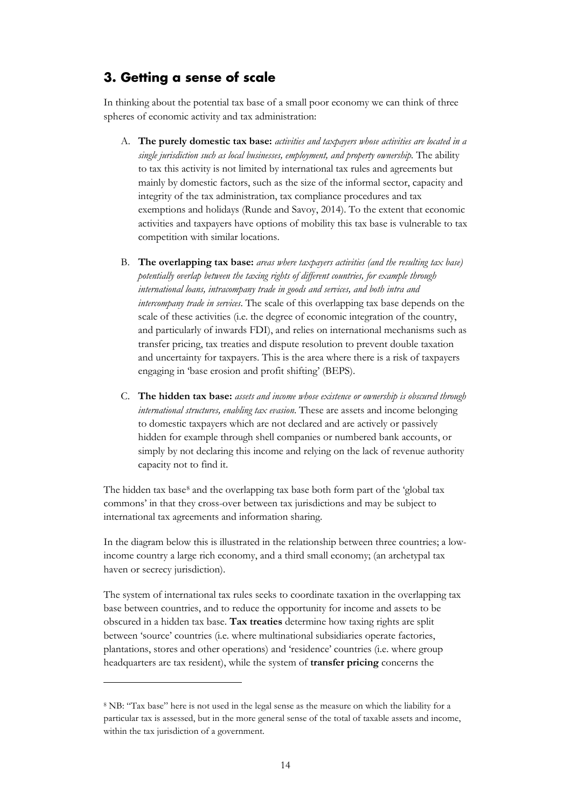## <span id="page-15-0"></span>**3. Getting a sense of scale**

In thinking about the potential tax base of a small poor economy we can think of three spheres of economic activity and tax administration:

- A. **The purely domestic tax base:** *activities and taxpayers whose activities are located in a single jurisdiction such as local businesses, employment, and property ownership.* The ability to tax this activity is not limited by international tax rules and agreements but mainly by domestic factors, such as the size of the informal sector, capacity and integrity of the tax administration, tax compliance procedures and tax exemptions and holidays (Runde and Savoy, 2014). To the extent that economic activities and taxpayers have options of mobility this tax base is vulnerable to tax competition with similar locations.
- B. **The overlapping tax base:** *areas where taxpayers activities (and the resulting tax base) potentially overlap between the taxing rights of different countries, for example through international loans, intracompany trade in goods and services, and both intra and intercompany trade in services*. The scale of this overlapping tax base depends on the scale of these activities (i.e. the degree of economic integration of the country, and particularly of inwards FDI), and relies on international mechanisms such as transfer pricing, tax treaties and dispute resolution to prevent double taxation and uncertainty for taxpayers. This is the area where there is a risk of taxpayers engaging in 'base erosion and profit shifting' (BEPS).
- C. **The hidden tax base:** *assets and income whose existence or ownership is obscured through international structures, enabling tax evasion*. These are assets and income belonging to domestic taxpayers which are not declared and are actively or passively hidden for example through shell companies or numbered bank accounts, or simply by not declaring this income and relying on the lack of revenue authority capacity not to find it.

The hidden tax base<sup>8</sup> and the overlapping tax base both form part of the 'global tax commons' in that they cross-over between tax jurisdictions and may be subject to international tax agreements and information sharing.

In the diagram below this is illustrated in the relationship between three countries; a lowincome country a large rich economy, and a third small economy; (an archetypal tax haven or secrecy jurisdiction).

The system of international tax rules seeks to coordinate taxation in the overlapping tax base between countries, and to reduce the opportunity for income and assets to be obscured in a hidden tax base. **Tax treaties** determine how taxing rights are split between 'source' countries (i.e. where multinational subsidiaries operate factories, plantations, stores and other operations) and 'residence' countries (i.e. where group headquarters are tax resident), while the system of **transfer pricing** concerns the

1

<span id="page-15-1"></span><sup>8</sup> NB: "Tax base" here is not used in the legal sense as the measure on which the liability for a particular tax is assessed, but in the more general sense of the total of taxable assets and income, within the tax jurisdiction of a government.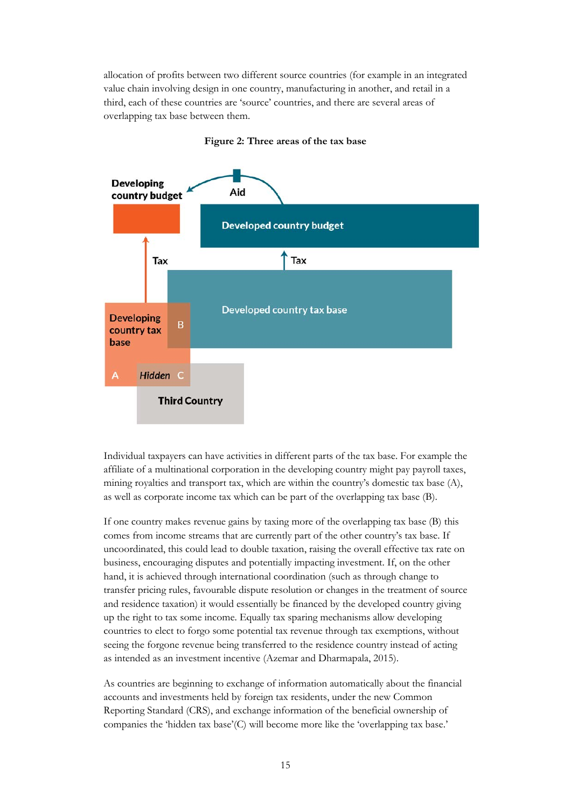allocation of profits between two different source countries (for example in an integrated value chain involving design in one country, manufacturing in another, and retail in a third, each of these countries are 'source' countries, and there are several areas of overlapping tax base between them.





Individual taxpayers can have activities in different parts of the tax base. For example the affiliate of a multinational corporation in the developing country might pay payroll taxes, mining royalties and transport tax, which are within the country's domestic tax base (A), as well as corporate income tax which can be part of the overlapping tax base (B).

If one country makes revenue gains by taxing more of the overlapping tax base (B) this comes from income streams that are currently part of the other country's tax base. If uncoordinated, this could lead to double taxation, raising the overall effective tax rate on business, encouraging disputes and potentially impacting investment. If, on the other hand, it is achieved through international coordination (such as through change to transfer pricing rules, favourable dispute resolution or changes in the treatment of source and residence taxation) it would essentially be financed by the developed country giving up the right to tax some income. Equally tax sparing mechanisms allow developing countries to elect to forgo some potential tax revenue through tax exemptions, without seeing the forgone revenue being transferred to the residence country instead of acting as intended as an investment incentive (Azemar and Dharmapala, 2015).

As countries are beginning to exchange of information automatically about the financial accounts and investments held by foreign tax residents, under the new Common Reporting Standard (CRS), and exchange information of the beneficial ownership of companies the 'hidden tax base'(C) will become more like the 'overlapping tax base.'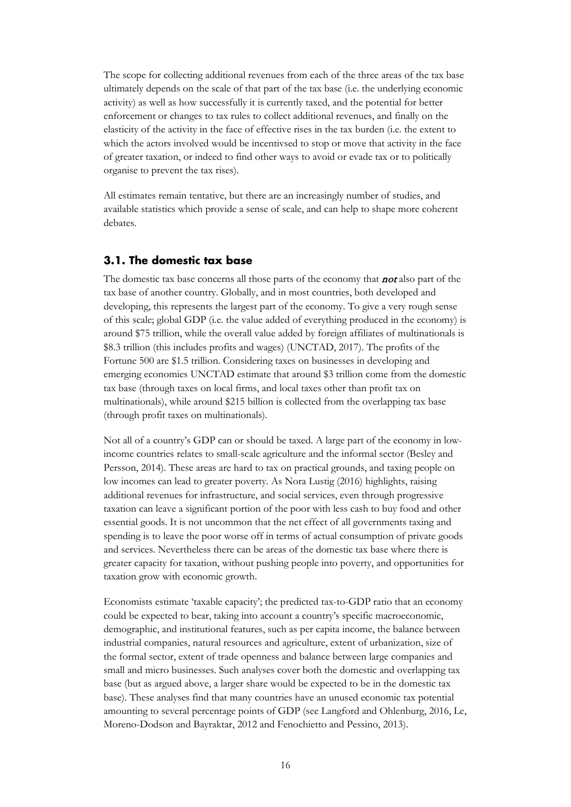The scope for collecting additional revenues from each of the three areas of the tax base ultimately depends on the scale of that part of the tax base (i.e. the underlying economic activity) as well as how successfully it is currently taxed, and the potential for better enforcement or changes to tax rules to collect additional revenues, and finally on the elasticity of the activity in the face of effective rises in the tax burden (i.e. the extent to which the actors involved would be incentivsed to stop or move that activity in the face of greater taxation, or indeed to find other ways to avoid or evade tax or to politically organise to prevent the tax rises).

All estimates remain tentative, but there are an increasingly number of studies, and available statistics which provide a sense of scale, and can help to shape more coherent debates.

#### <span id="page-17-0"></span>**3.1. The domestic tax base**

The domestic tax base concerns all those parts of the economy that **not** also part of the tax base of another country. Globally, and in most countries, both developed and developing, this represents the largest part of the economy. To give a very rough sense of this scale; global GDP (i.e. the value added of everything produced in the economy) is around \$75 trillion, while the overall value added by foreign affiliates of multinationals is \$8.3 trillion (this includes profits and wages) (UNCTAD, 2017). The profits of the Fortune 500 are \$1.5 trillion. Considering taxes on businesses in developing and emerging economies UNCTAD estimate that around \$3 trillion come from the domestic tax base (through taxes on local firms, and local taxes other than profit tax on multinationals), while around \$215 billion is collected from the overlapping tax base (through profit taxes on multinationals).

Not all of a country's GDP can or should be taxed. A large part of the economy in lowincome countries relates to small-scale agriculture and the informal sector (Besley and Persson, 2014). These areas are hard to tax on practical grounds, and taxing people on low incomes can lead to greater poverty. As Nora Lustig (2016) highlights, raising additional revenues for infrastructure, and social services, even through progressive taxation can leave a significant portion of the poor with less cash to buy food and other essential goods. It is not uncommon that the net effect of all governments taxing and spending is to leave the poor worse off in terms of actual consumption of private goods and services. Nevertheless there can be areas of the domestic tax base where there is greater capacity for taxation, without pushing people into poverty, and opportunities for taxation grow with economic growth.

Economists estimate 'taxable capacity'; the predicted tax-to-GDP ratio that an economy could be expected to bear, taking into account a country's specific macroeconomic, demographic, and institutional features, such as per capita income, the balance between industrial companies, natural resources and agriculture, extent of urbanization, size of the formal sector, extent of trade openness and balance between large companies and small and micro businesses. Such analyses cover both the domestic and overlapping tax base (but as argued above, a larger share would be expected to be in the domestic tax base). These analyses find that many countries have an unused economic tax potential amounting to several percentage points of GDP (see Langford and Ohlenburg, 2016, Le, Moreno-Dodson and Bayraktar, 2012 and Fenochietto and Pessino, 2013).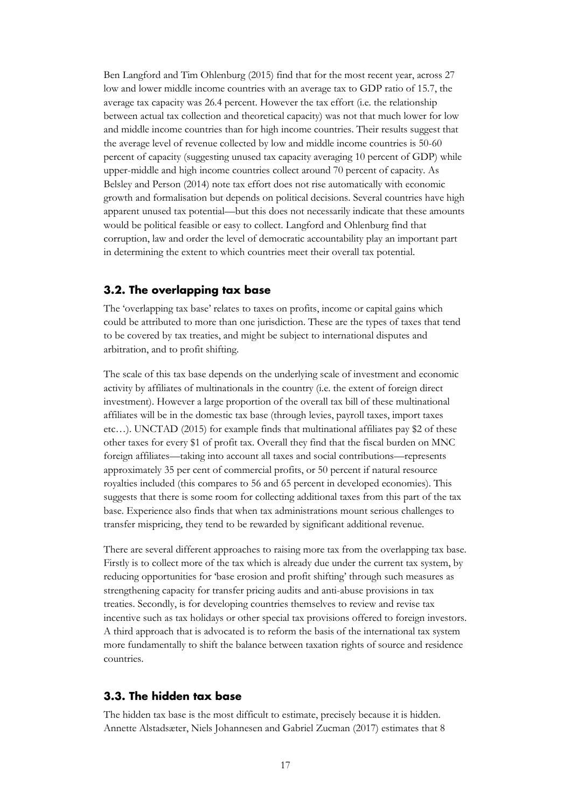Ben Langford and Tim Ohlenburg (2015) find that for the most recent year, across 27 low and lower middle income countries with an average tax to GDP ratio of 15.7, the average tax capacity was 26.4 percent. However the tax effort (i.e. the relationship between actual tax collection and theoretical capacity) was not that much lower for low and middle income countries than for high income countries. Their results suggest that the average level of revenue collected by low and middle income countries is 50-60 percent of capacity (suggesting unused tax capacity averaging 10 percent of GDP) while upper-middle and high income countries collect around 70 percent of capacity. As Belsley and Person (2014) note tax effort does not rise automatically with economic growth and formalisation but depends on political decisions. Several countries have high apparent unused tax potential—but this does not necessarily indicate that these amounts would be political feasible or easy to collect. Langford and Ohlenburg find that corruption, law and order the level of democratic accountability play an important part in determining the extent to which countries meet their overall tax potential.

#### <span id="page-18-0"></span>**3.2. The overlapping tax base**

The 'overlapping tax base' relates to taxes on profits, income or capital gains which could be attributed to more than one jurisdiction. These are the types of taxes that tend to be covered by tax treaties, and might be subject to international disputes and arbitration, and to profit shifting.

The scale of this tax base depends on the underlying scale of investment and economic activity by affiliates of multinationals in the country (i.e. the extent of foreign direct investment). However a large proportion of the overall tax bill of these multinational affiliates will be in the domestic tax base (through levies, payroll taxes, import taxes etc…). UNCTAD (2015) for example finds that multinational affiliates pay \$2 of these other taxes for every \$1 of profit tax. Overall they find that the fiscal burden on MNC foreign affiliates—taking into account all taxes and social contributions—represents approximately 35 per cent of commercial profits, or 50 percent if natural resource royalties included (this compares to 56 and 65 percent in developed economies). This suggests that there is some room for collecting additional taxes from this part of the tax base. Experience also finds that when tax administrations mount serious challenges to transfer mispricing, they tend to be rewarded by significant additional revenue.

There are several different approaches to raising more tax from the overlapping tax base. Firstly is to collect more of the tax which is already due under the current tax system, by reducing opportunities for 'base erosion and profit shifting' through such measures as strengthening capacity for transfer pricing audits and anti-abuse provisions in tax treaties. Secondly, is for developing countries themselves to review and revise tax incentive such as tax holidays or other special tax provisions offered to foreign investors. A third approach that is advocated is to reform the basis of the international tax system more fundamentally to shift the balance between taxation rights of source and residence countries.

#### <span id="page-18-1"></span>**3.3. The hidden tax base**

The hidden tax base is the most difficult to estimate, precisely because it is hidden. Annette Alstadsæter, Niels Johannesen and Gabriel Zucman (2017) estimates that 8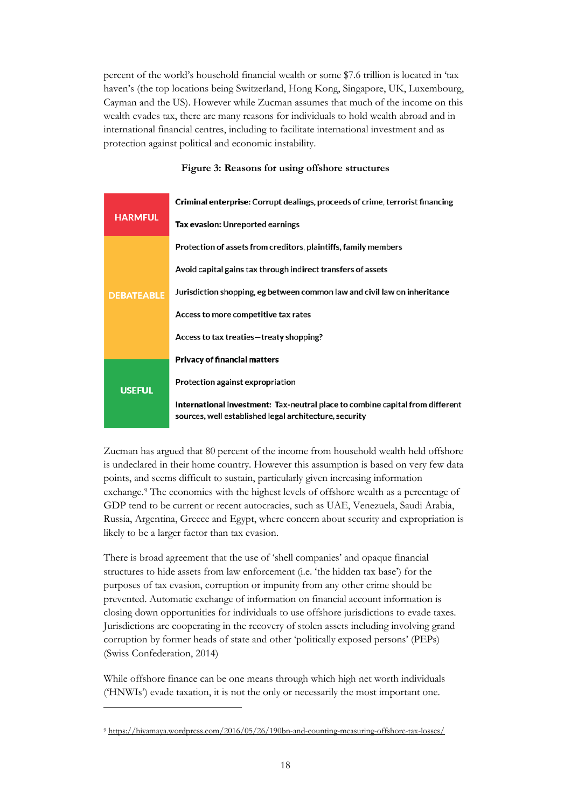percent of the world's household financial wealth or some \$7.6 trillion is located in 'tax haven's (the top locations being Switzerland, Hong Kong, Singapore, UK, Luxembourg, Cayman and the US). However while Zucman assumes that much of the income on this wealth evades tax, there are many reasons for individuals to hold wealth abroad and in international financial centres, including to facilitate international investment and as protection against political and economic instability.

## Criminal enterprise: Corrupt dealings, proceeds of crime, terrorist financing **HARMFUL** Tax evasion: Unreported earnings Protection of assets from creditors, plaintiffs, family members Avoid capital gains tax through indirect transfers of assets Jurisdiction shopping, eg between common law and civil law on inheritance **DEBATEABLE** Access to more competitive tax rates Access to tax treaties-treaty shopping? **Privacy of financial matters** Protection against expropriation **USEFUL** International investment: Tax-neutral place to combine capital from different sources, well established legal architecture, security

#### **Figure 3: Reasons for using offshore structures**

Zucman has argued that 80 percent of the income from household wealth held offshore is undeclared in their home country. However this assumption is based on very few data points, and seems difficult to sustain, particularly given increasing information exchange.[9](#page-19-0) The economies with the highest levels of offshore wealth as a percentage of GDP tend to be current or recent autocracies, such as UAE, Venezuela, Saudi Arabia, Russia, Argentina, Greece and Egypt, where concern about security and expropriation is likely to be a larger factor than tax evasion.

There is broad agreement that the use of 'shell companies' and opaque financial structures to hide assets from law enforcement (i.e. 'the hidden tax base') for the purposes of tax evasion, corruption or impunity from any other crime should be prevented. Automatic exchange of information on financial account information is closing down opportunities for individuals to use offshore jurisdictions to evade taxes. Jurisdictions are cooperating in the recovery of stolen assets including involving grand corruption by former heads of state and other 'politically exposed persons' (PEPs) (Swiss Confederation, 2014)

While offshore finance can be one means through which high net worth individuals ('HNWIs') evade taxation, it is not the only or necessarily the most important one.

1

<span id="page-19-0"></span><sup>9</sup> <https://hiyamaya.wordpress.com/2016/05/26/190bn-and-counting-measuring-offshore-tax-losses/>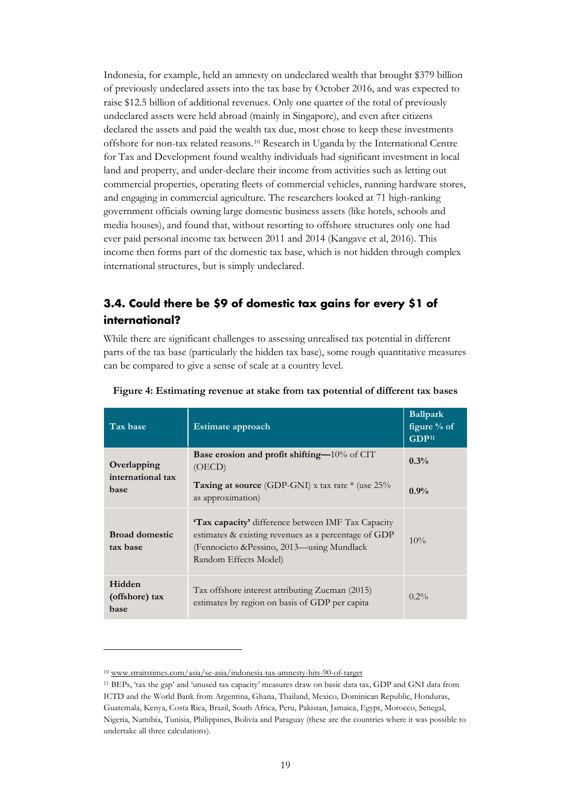Indonesia, for example, held an amnesty on undeclared wealth that brought \$379 billion of previously undeclared assets into the tax base by October 2016, and was expected to raise \$12.5 billion of additional revenues. Only one quarter of the total of previously undeclared assets were held abroad (mainly in Singapore), and even after citizens declared the assets and paid the wealth tax due, most chose to keep these investments offshore for non-tax related reasons[.10](#page-20-1) Research in Uganda by the International Centre for Tax and Development found wealthy individuals had significant investment in local land and property, and under-declare their income from activities such as letting out commercial properties, operating fleets of commercial vehicles, running hardware stores, and engaging in commercial agriculture. The researchers looked at 71 high-ranking government officials owning large domestic business assets (like hotels, schools and media houses), and found that, without resorting to offshore structures only one had ever paid personal income tax between 2011 and 2014 (Kangave et al, 2016). This income then forms part of the domestic tax base, which is not hidden through complex international structures, but is simply undeclared.

## <span id="page-20-0"></span>**3.4. Could there be \$9 of domestic tax gains for every \$1 of international?**

While there are significant challenges to assessing unrealised tax potential in different parts of the tax base (particularly the hidden tax base), some rough quantitative measures can be compared to give a sense of scale at a country level.

| Tax base                          | Estimate approach                                                                                                                                                                        | <b>Ballpark</b><br>figure % of<br>GDP <sup>11</sup> |
|-----------------------------------|------------------------------------------------------------------------------------------------------------------------------------------------------------------------------------------|-----------------------------------------------------|
| Overlapping                       | Base erosion and profit shifting-10% of CIT<br>(OECD)                                                                                                                                    | $0.3\%$                                             |
| international tax<br>base         | <b>Taxing at source</b> (GDP-GNI) x tax rate $*$ (use 25%<br>as approximation)                                                                                                           | $0.9\%$                                             |
| <b>Broad domestic</b><br>tax base | <b>Tax capacity'</b> difference between IMF Tax Capacity<br>estimates & existing revenues as a percentage of GDP<br>(Fennocieto & Pessino, 2013—using Mundlack)<br>Random Effects Model) |                                                     |
| Hidden<br>(offshore) tax<br>base  | Tax offshore interest attributing Zucman (2015)<br>estimates by region on basis of GDP per capita                                                                                        |                                                     |

#### **Figure 4: Estimating revenue at stake from tax potential of different tax bases**

1

<span id="page-20-1"></span><sup>10</sup> [www.straitstimes.com/asia/se-asia/indonesia-tax-amnesty-hits-90-of-target](http://www.straitstimes.com/asia/se-asia/indonesia-tax-amnesty-hits-90-of-target)

<span id="page-20-2"></span><sup>11</sup> BEPs, 'tax the gap' and 'unused tax capacity' measures draw on basic data tax, GDP and GNI data from ICTD and the World Bank from Argentina, Ghana, Thailand, Mexico, Dominican Republic, Honduras, Guatemala, Kenya, Costa Rica, Brazil, South Africa, Peru, Pakistan, Jamaica, Egypt, Morocco, Senegal, Nigeria, Namibia, Tunisia, Philippines, Bolivia and Paraguay (these are the countries where it was possible to undertake all three calculations).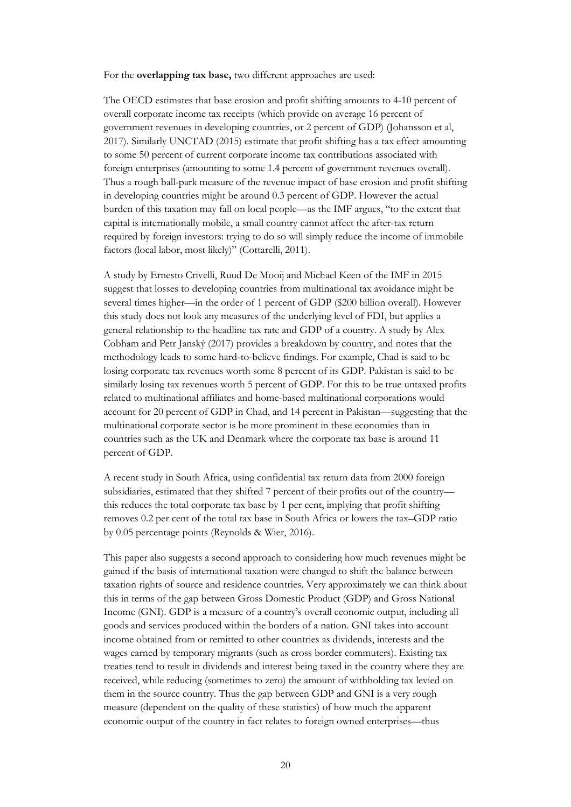For the **overlapping tax base,** two different approaches are used:

The OECD estimates that base erosion and profit shifting amounts to 4-10 percent of overall corporate income tax receipts (which provide on average 16 percent of government revenues in developing countries, or 2 percent of GDP) (Johansson et al, 2017). Similarly UNCTAD (2015) estimate that profit shifting has a tax effect amounting to some 50 percent of current corporate income tax contributions associated with foreign enterprises (amounting to some 1.4 percent of government revenues overall). Thus a rough ball-park measure of the revenue impact of base erosion and profit shifting in developing countries might be around 0.3 percent of GDP. However the actual burden of this taxation may fall on local people—as the IMF argues, "to the extent that capital is internationally mobile, a small country cannot affect the after-tax return required by foreign investors: trying to do so will simply reduce the income of immobile factors (local labor, most likely)" (Cottarelli, 2011).

A study by Ernesto Crivelli, Ruud De Mooij and Michael Keen of the IMF in 2015 suggest that losses to developing countries from multinational tax avoidance might be several times higher—in the order of 1 percent of GDP (\$200 billion overall). However this study does not look any measures of the underlying level of FDI, but applies a general relationship to the headline tax rate and GDP of a country. A study by Alex Cobham and Petr Janský (2017) provides a breakdown by country, and notes that the methodology leads to some hard-to-believe findings. For example, Chad is said to be losing corporate tax revenues worth some 8 percent of its GDP. Pakistan is said to be similarly losing tax revenues worth 5 percent of GDP. For this to be true untaxed profits related to multinational affiliates and home-based multinational corporations would account for 20 percent of GDP in Chad, and 14 percent in Pakistan—suggesting that the multinational corporate sector is be more prominent in these economies than in countries such as the UK and Denmark where the corporate tax base is around 11 percent of GDP.

A recent study in South Africa, using confidential tax return data from 2000 foreign subsidiaries, estimated that they shifted 7 percent of their profits out of the country this reduces the total corporate tax base by 1 per cent, implying that profit shifting removes 0.2 per cent of the total tax base in South Africa or lowers the tax–GDP ratio by 0.05 percentage points (Reynolds & Wier, 2016).

This paper also suggests a second approach to considering how much revenues might be gained if the basis of international taxation were changed to shift the balance between taxation rights of source and residence countries. Very approximately we can think about this in terms of the gap between Gross Domestic Product (GDP) and Gross National Income (GNI). GDP is a measure of a country's overall economic output, including all goods and services produced within the borders of a nation. GNI takes into account income obtained from or remitted to other countries as dividends, interests and the wages earned by temporary migrants (such as cross border commuters). Existing tax treaties tend to result in dividends and interest being taxed in the country where they are received, while reducing (sometimes to zero) the amount of withholding tax levied on them in the source country. Thus the gap between GDP and GNI is a very rough measure (dependent on the quality of these statistics) of how much the apparent economic output of the country in fact relates to foreign owned enterprises—thus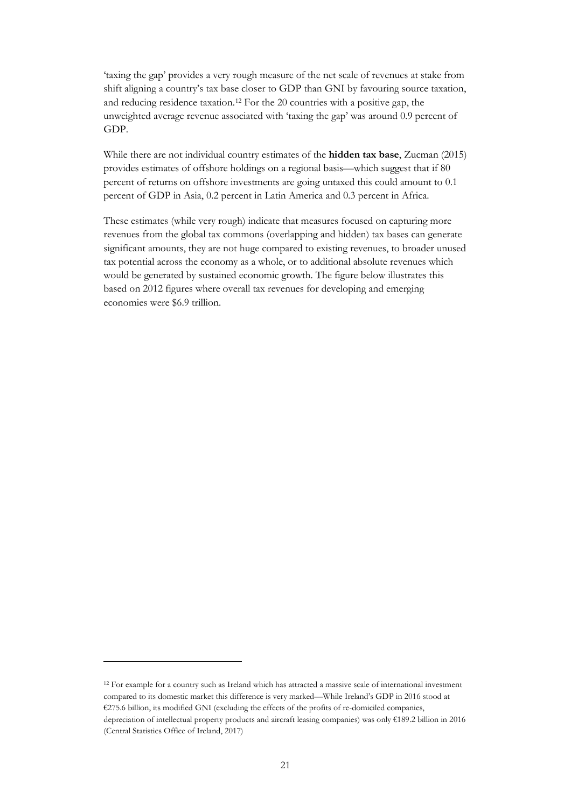'taxing the gap' provides a very rough measure of the net scale of revenues at stake from shift aligning a country's tax base closer to GDP than GNI by favouring source taxation, and reducing residence taxation.[12](#page-22-0) For the 20 countries with a positive gap, the unweighted average revenue associated with 'taxing the gap' was around 0.9 percent of GDP.

While there are not individual country estimates of the **hidden tax base**, Zucman (2015) provides estimates of offshore holdings on a regional basis—which suggest that if 80 percent of returns on offshore investments are going untaxed this could amount to 0.1 percent of GDP in Asia, 0.2 percent in Latin America and 0.3 percent in Africa.

These estimates (while very rough) indicate that measures focused on capturing more revenues from the global tax commons (overlapping and hidden) tax bases can generate significant amounts, they are not huge compared to existing revenues, to broader unused tax potential across the economy as a whole, or to additional absolute revenues which would be generated by sustained economic growth. The figure below illustrates this based on 2012 figures where overall tax revenues for developing and emerging economies were \$6.9 trillion.

 $\overline{a}$ 

<span id="page-22-0"></span><sup>12</sup> For example for a country such as Ireland which has attracted a massive scale of international investment compared to its domestic market this difference is very marked—While Ireland's GDP in 2016 stood at €275.6 billion, its modified GNI (excluding the effects of the profits of re-domiciled companies, depreciation of intellectual property products and aircraft leasing companies) was only €189.2 billion in 2016 (Central Statistics Office of Ireland, 2017)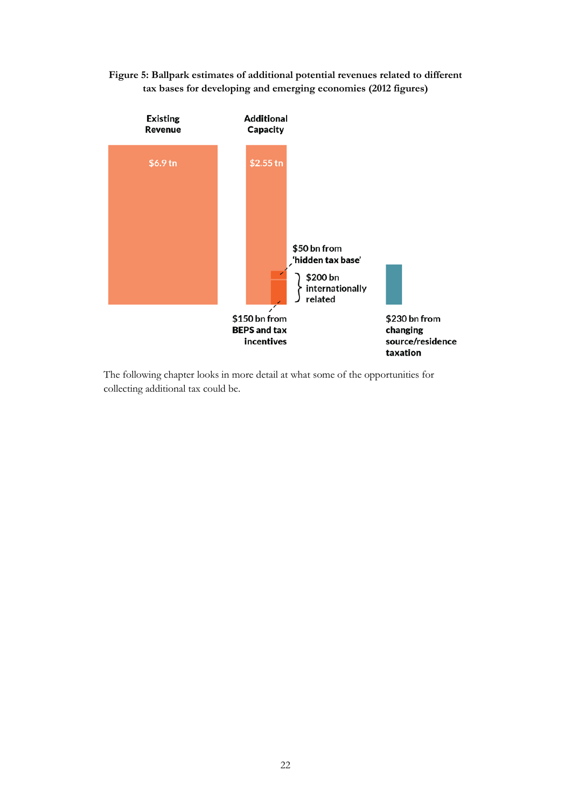**Figure 5: Ballpark estimates of additional potential revenues related to different tax bases for developing and emerging economies (2012 figures)**



The following chapter looks in more detail at what some of the opportunities for collecting additional tax could be.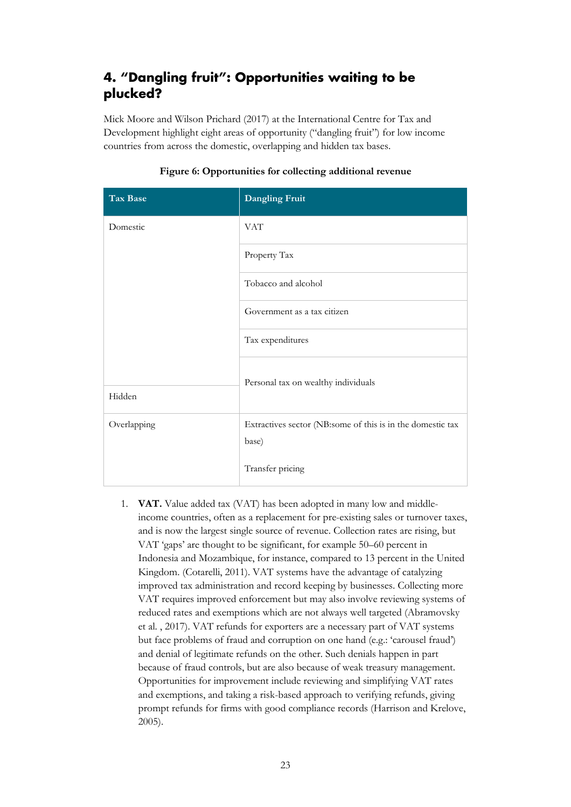## <span id="page-24-0"></span>**4. "Dangling fruit": Opportunities waiting to be plucked?**

Mick Moore and Wilson Prichard (2017) at the International Centre for Tax and Development highlight eight areas of opportunity ("dangling fruit") for low income countries from across the domestic, overlapping and hidden tax bases.

| Tax Base    | <b>Dangling Fruit</b>                                               |
|-------------|---------------------------------------------------------------------|
| Domestic    | <b>VAT</b>                                                          |
|             | Property Tax                                                        |
|             | Tobacco and alcohol                                                 |
|             | Government as a tax citizen                                         |
|             | Tax expenditures                                                    |
| Hidden      | Personal tax on wealthy individuals                                 |
|             |                                                                     |
| Overlapping | Extractives sector (NB:some of this is in the domestic tax<br>base) |
|             | Transfer pricing                                                    |

#### **Figure 6: Opportunities for collecting additional revenue**

1. **VAT.** Value added tax (VAT) has been adopted in many low and middleincome countries, often as a replacement for pre-existing sales or turnover taxes, and is now the largest single source of revenue. Collection rates are rising, but VAT 'gaps' are thought to be significant, for example 50–60 percent in Indonesia and Mozambique, for instance, compared to 13 percent in the United Kingdom. (Cotarelli, 2011). VAT systems have the advantage of catalyzing improved tax administration and record keeping by businesses. Collecting more VAT requires improved enforcement but may also involve reviewing systems of reduced rates and exemptions which are not always well targeted (Abramovsky et al. , 2017). VAT refunds for exporters are a necessary part of VAT systems but face problems of fraud and corruption on one hand (e.g.: 'carousel fraud') and denial of legitimate refunds on the other. Such denials happen in part because of fraud controls, but are also because of weak treasury management. Opportunities for improvement include reviewing and simplifying VAT rates and exemptions, and taking a risk-based approach to verifying refunds, giving prompt refunds for firms with good compliance records (Harrison and Krelove, 2005).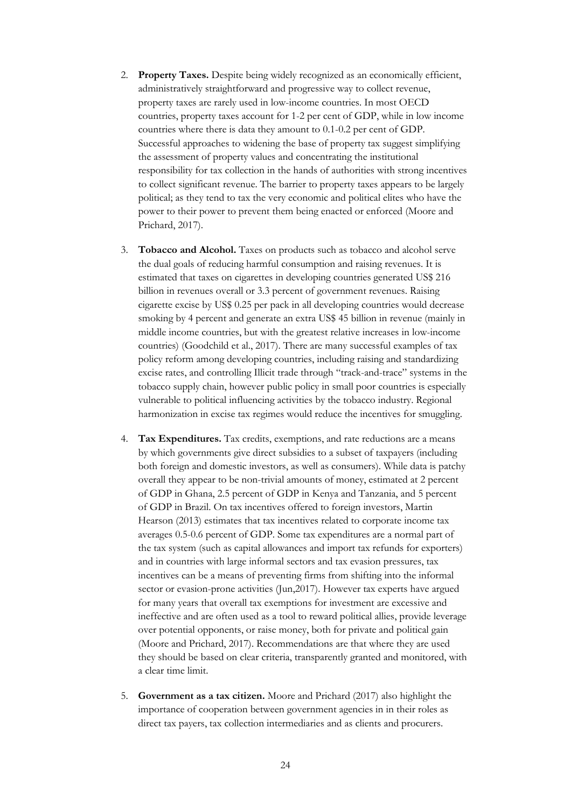- 2. **Property Taxes.** Despite being widely recognized as an economically efficient, administratively straightforward and progressive way to collect revenue, property taxes are rarely used in low-income countries. In most OECD countries, property taxes account for 1-2 per cent of GDP, while in low income countries where there is data they amount to 0.1-0.2 per cent of GDP. Successful approaches to widening the base of property tax suggest simplifying the assessment of property values and concentrating the institutional responsibility for tax collection in the hands of authorities with strong incentives to collect significant revenue. The barrier to property taxes appears to be largely political; as they tend to tax the very economic and political elites who have the power to their power to prevent them being enacted or enforced (Moore and Prichard, 2017).
- 3. **Tobacco and Alcohol.** Taxes on products such as tobacco and alcohol serve the dual goals of reducing harmful consumption and raising revenues. It is estimated that taxes on cigarettes in developing countries generated US\$ 216 billion in revenues overall or 3.3 percent of government revenues. Raising cigarette excise by US\$ 0.25 per pack in all developing countries would decrease smoking by 4 percent and generate an extra US\$ 45 billion in revenue (mainly in middle income countries, but with the greatest relative increases in low-income countries) (Goodchild et al., 2017). There are many successful examples of tax policy reform among developing countries, including raising and standardizing excise rates, and controlling Illicit trade through "track-and-trace" systems in the tobacco supply chain, however public policy in small poor countries is especially vulnerable to political influencing activities by the tobacco industry. Regional harmonization in excise tax regimes would reduce the incentives for smuggling.
- 4. **Tax Expenditures.** Tax credits, exemptions, and rate reductions are a means by which governments give direct subsidies to a subset of taxpayers (including both foreign and domestic investors, as well as consumers). While data is patchy overall they appear to be non-trivial amounts of money, estimated at [2 percent](http://www.mofep.gov.gh/sites/default/files/news/2016%20BUDGET%20-%20STATEMENT.pdf)  [of GDP in Ghana,](http://www.mofep.gov.gh/sites/default/files/news/2016%20BUDGET%20-%20STATEMENT.pdf) [2.5 percent of GDP in Kenya and Tanzania,](http://www.mof.go.tz/mofdocs/PER/PER%20Reports/PER%20Tax%20Exemptions%20Study%20Final%20Report%20and%20Briefing%20Note.pdf) and [5 percent](https://www.imf.org/en/Publications/CR/Issues/2017/05/03/Brazil-Fiscal-Transparency-Evaluation-44874)  [of GDP in Brazil.](https://www.imf.org/en/Publications/CR/Issues/2017/05/03/Brazil-Fiscal-Transparency-Evaluation-44874) On tax incentives offered to foreign investors, Martin Hearson (2013) estimates that tax incentives related to corporate income tax averages 0.5-0.6 percent of GDP. Some tax expenditures are a normal part of the tax system (such as capital allowances and import tax refunds for exporters) and in countries with large informal sectors and tax evasion pressures, tax incentives can be a means of preventing firms from shifting into the informal sector or evasion-prone activities (Jun,2017). However tax experts have argued for many years that overall tax exemptions for investment are excessive and ineffective and are often used as a tool to reward political allies, provide leverage over potential opponents, or raise money, both for private and political gain (Moore and Prichard, 2017). Recommendations are that where they are used they should be based on clear criteria, transparently granted and monitored, with a clear time limit.
- 5. **Government as a tax citizen.** Moore and Prichard (2017) also highlight the importance of cooperation between government agencies in in their roles as direct tax payers, tax collection intermediaries and as clients and procurers.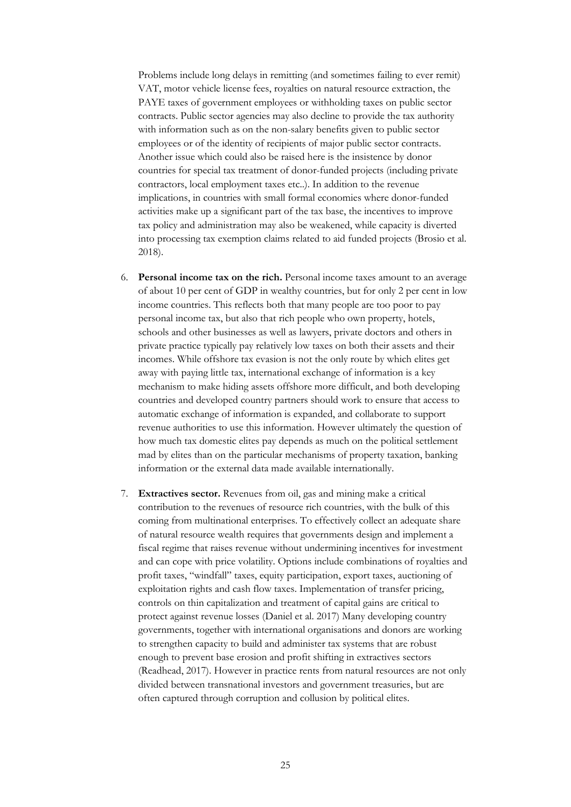Problems include long delays in remitting (and sometimes failing to ever remit) VAT, motor vehicle license fees, royalties on natural resource extraction, the PAYE taxes of government employees or withholding taxes on public sector contracts. Public sector agencies may also decline to provide the tax authority with information such as on the non-salary benefits given to public sector employees or of the identity of recipients of major public sector contracts. Another issue which could also be raised here is the insistence by donor countries for special tax treatment of donor-funded projects (including private contractors, local employment taxes etc..). In addition to the revenue implications, in countries with small formal economies where donor-funded activities make up a significant part of the tax base, the incentives to improve tax policy and administration may also be weakened, while capacity is diverted into processing tax exemption claims related to aid funded projects (Brosio et al. 2018).

- 6. **Personal income tax on the rich.** Personal income taxes amount to an average of about 10 per cent of GDP in wealthy countries, but for only 2 per cent in low income countries. This reflects both that many people are too poor to pay personal income tax, but also that rich people who own property, hotels, schools and other businesses as well as lawyers, private doctors and others in private practice typically pay relatively low taxes on both their assets and their incomes. While offshore tax evasion is not the only route by which elites get away with paying little tax, international exchange of information is a key mechanism to make hiding assets offshore more difficult, and both developing countries and developed country partners should work to ensure that access to automatic exchange of information is expanded, and collaborate to support revenue authorities to use this information. However ultimately the question of how much tax domestic elites pay depends as much on the political settlement mad by elites than on the particular mechanisms of property taxation, banking information or the external data made available internationally.
- 7. **Extractives sector.** Revenues from oil, gas and mining make a critical contribution to the revenues of resource rich countries, with the bulk of this coming from multinational enterprises. To effectively collect an adequate share of natural resource wealth requires that governments design and implement a fiscal regime that raises revenue without undermining incentives for investment and can cope with price volatility. Options include combinations of royalties and profit taxes, "windfall" taxes, equity participation, export taxes, auctioning of exploitation rights and cash flow taxes. Implementation of transfer pricing, controls on thin capitalization and treatment of capital gains are critical to protect against revenue losses (Daniel et al. 2017) Many developing country governments, together with international organisations and donors are working to strengthen capacity to build and administer tax systems that are robust enough to prevent base erosion and profit shifting in extractives sectors (Readhead, 2017). However in practice rents from natural resources are not only divided between transnational investors and government treasuries, but are often captured through corruption and collusion by political elites.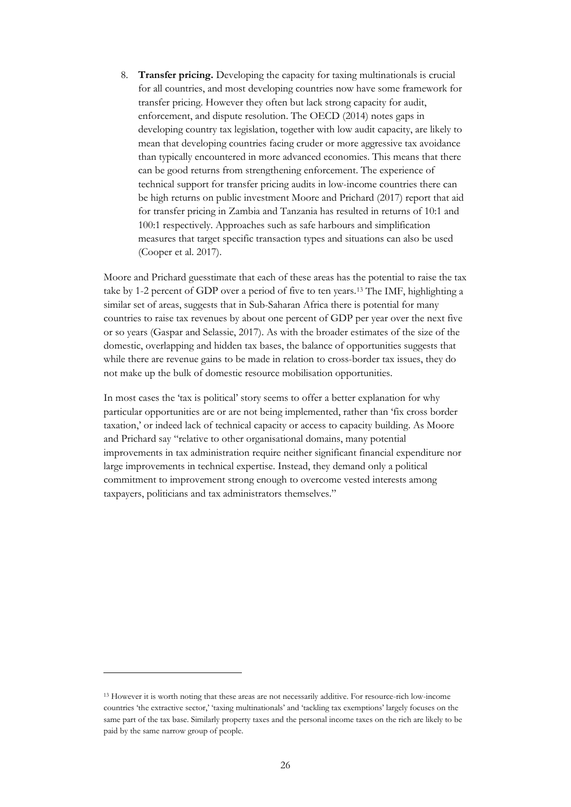8. **Transfer pricing.** Developing the capacity for taxing multinationals is crucial for all countries, and most developing countries now have some framework for transfer pricing. However they often but lack strong capacity for audit, enforcement, and dispute resolution. The OECD (2014) notes gaps in developing country tax legislation, together with low audit capacity, are likely to mean that developing countries facing cruder or more aggressive tax avoidance than typically encountered in more advanced economies. This means that there can be good returns from strengthening enforcement. The experience of technical support for transfer pricing audits in low-income countries there can be high returns on public investment Moore and Prichard (2017) report that aid for transfer pricing in Zambia and Tanzania has resulted in returns of 10:1 and 100:1 respectively. Approaches such as safe harbours and simplification measures that target specific transaction types and situations can also be used (Cooper et al. 2017).

Moore and Prichard guesstimate that each of these areas has the potential to raise the tax take by 1-2 percent of GDP over a period of five to ten years.[13](#page-27-0) The IMF, highlighting a similar set of areas, suggests that in Sub-Saharan Africa there is potential for many countries to raise tax revenues by about one percent of GDP per year over the next five or so years (Gaspar and Selassie, 2017). As with the broader estimates of the size of the domestic, overlapping and hidden tax bases, the balance of opportunities suggests that while there are revenue gains to be made in relation to cross-border tax issues, they do not make up the bulk of domestic resource mobilisation opportunities.

In most cases the 'tax is political' story seems to offer a better explanation for why particular opportunities are or are not being implemented, rather than 'fix cross border taxation,' or indeed lack of technical capacity or access to capacity building. As Moore and Prichard say "relative to other organisational domains, many potential improvements in tax administration require neither significant financial expenditure nor large improvements in technical expertise. Instead, they demand only a political commitment to improvement strong enough to overcome vested interests among taxpayers, politicians and tax administrators themselves."

 $\ddot{\phantom{a}}$ 

<span id="page-27-0"></span><sup>13</sup> However it is worth noting that these areas are not necessarily additive. For resource-rich low-income countries 'the extractive sector,' 'taxing multinationals' and 'tackling tax exemptions' largely focuses on the same part of the tax base. Similarly property taxes and the personal income taxes on the rich are likely to be paid by the same narrow group of people.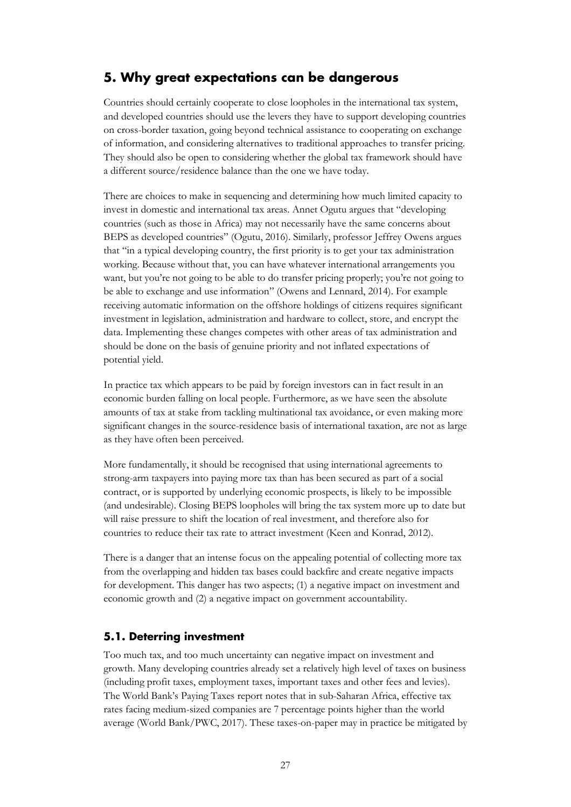## <span id="page-28-0"></span>**5. Why great expectations can be dangerous**

Countries should certainly cooperate to close loopholes in the international tax system, and developed countries should use the levers they have to support developing countries on cross-border taxation, going beyond technical assistance to cooperating on exchange of information, and considering alternatives to traditional approaches to transfer pricing. They should also be open to considering whether the global tax framework should have a different source/residence balance than the one we have today.

There are choices to make in sequencing and determining how much limited capacity to invest in domestic and international tax areas. Annet Ogutu argues that "developing countries (such as those in Africa) may not necessarily have the same concerns about BEPS as developed countries" (Ogutu, 2016). Similarly, professor Jeffrey Owens argues that "in a typical developing country, the first priority is to get your tax administration working. Because without that, you can have whatever international arrangements you want, but you're not going to be able to do transfer pricing properly; you're not going to be able to exchange and use information" (Owens and Lennard, 2014). For example receiving automatic information on the offshore holdings of citizens requires significant investment in legislation, administration and hardware to collect, store, and encrypt the data. Implementing these changes competes with other areas of tax administration and should be done on the basis of genuine priority and not inflated expectations of potential yield.

In practice tax which appears to be paid by foreign investors can in fact result in an economic burden falling on local people. Furthermore, as we have seen the absolute amounts of tax at stake from tackling multinational tax avoidance, or even making more significant changes in the source-residence basis of international taxation, are not as large as they have often been perceived.

More fundamentally, it should be recognised that using international agreements to strong-arm taxpayers into paying more tax than has been secured as part of a social contract, or is supported by underlying economic prospects, is likely to be impossible (and undesirable). Closing BEPS loopholes will bring the tax system more up to date but will raise pressure to shift the location of real investment, and therefore also for countries to reduce their tax rate to attract investment (Keen and Konrad, 2012).

There is a danger that an intense focus on the appealing potential of collecting more tax from the overlapping and hidden tax bases could backfire and create negative impacts for development. This danger has two aspects; (1) a negative impact on investment and economic growth and (2) a negative impact on government accountability.

#### <span id="page-28-1"></span>**5.1. Deterring investment**

Too much tax, and too much uncertainty can negative impact on investment and growth. Many developing countries already set a relatively high level of taxes on business (including profit taxes, employment taxes, important taxes and other fees and levies). The World Bank's Paying Taxes report notes that in sub-Saharan Africa, effective tax rates facing medium-sized companies are 7 percentage points higher than the world average (World Bank/PWC, 2017). These taxes-on-paper may in practice be mitigated by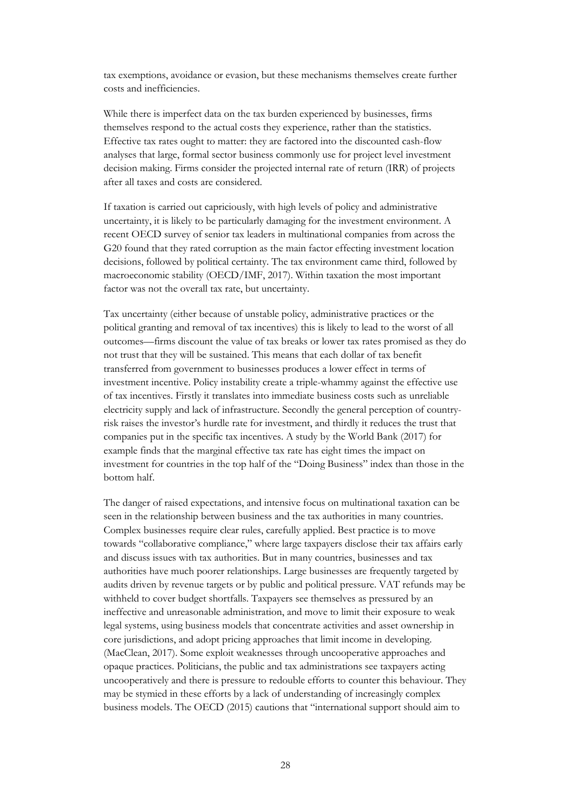tax exemptions, avoidance or evasion, but these mechanisms themselves create further costs and inefficiencies.

While there is imperfect data on the tax burden experienced by businesses, firms themselves respond to the actual costs they experience, rather than the statistics. Effective tax rates ought to matter: they are factored into the [discounted cash-flow](https://www.imperial.ac.uk/media/imperial-college/grantham-institute/public/publications/briefing-papers/the-cost-of-capital-and-how-it-affects-climate-change-mitigation-investment-v2-Grantham-BP-15.pdf)  [analyses](https://www.imperial.ac.uk/media/imperial-college/grantham-institute/public/publications/briefing-papers/the-cost-of-capital-and-how-it-affects-climate-change-mitigation-investment-v2-Grantham-BP-15.pdf) that large, formal sector business commonly use for project level investment decision making. Firms consider the projected internal rate of return (IRR) of projects after all taxes and costs are considered.

If taxation is carried out capriciously, with high levels of policy and administrative uncertainty, it is likely to be particularly damaging for the investment environment. A recent OECD survey of senior tax leaders in multinational companies from across the G20 found that they rated corruption as the main factor effecting investment location decisions, followed by political certainty. The tax environment came third, followed by macroeconomic stability (OECD/IMF, 2017). Within taxation the most important factor was not the overall tax rate, but uncertainty.

Tax uncertainty (either because of unstable policy, administrative practices or the political granting and removal of tax incentives) this is likely to lead to the worst of all outcomes—firms discount the value of tax breaks or lower tax rates promised as they do not trust that they will be sustained. This means that each dollar of tax benefit transferred from government to businesses produces a lower effect in terms of investment incentive. Policy instability create a triple-whammy against the effective use of tax incentives. Firstly it translates into immediate business costs such as unreliable electricity supply and lack of infrastructure. Secondly the general perception of countryrisk raises the investor's hurdle rate for investment, and thirdly it reduces the trust that companies put in the specific tax incentives. A study by the World Bank (2017) for example finds that the marginal effective tax rate has eight times the impact on investment for countries in the top half of the "Doing Business" index than those in the bottom half.

The danger of raised expectations, and intensive focus on multinational taxation can be seen in the relationship between business and the tax authorities in many countries. Complex businesses require clear rules, carefully applied. Best practice is to move towards "collaborative compliance," where large taxpayers disclose their tax affairs early and discuss issues with tax authorities. But in many countries, businesses and tax authorities have much poorer relationships. Large businesses are frequently targeted by audits driven by revenue targets or by public and political pressure. VAT refunds may be withheld to cover budget shortfalls. Taxpayers see themselves as pressured by an ineffective and unreasonable administration, and move to limit their exposure to weak legal systems, using business models that concentrate activities and asset ownership in core jurisdictions, and adopt pricing approaches that limit income in developing. (MacClean, 2017). Some exploit weaknesses through uncooperative approaches and opaque practices. Politicians, the public and tax administrations see taxpayers acting uncooperatively and there is pressure to redouble efforts to counter this behaviour. They may be stymied in these efforts by a lack of understanding of increasingly complex business models. The OECD (2015) cautions that "international support should aim to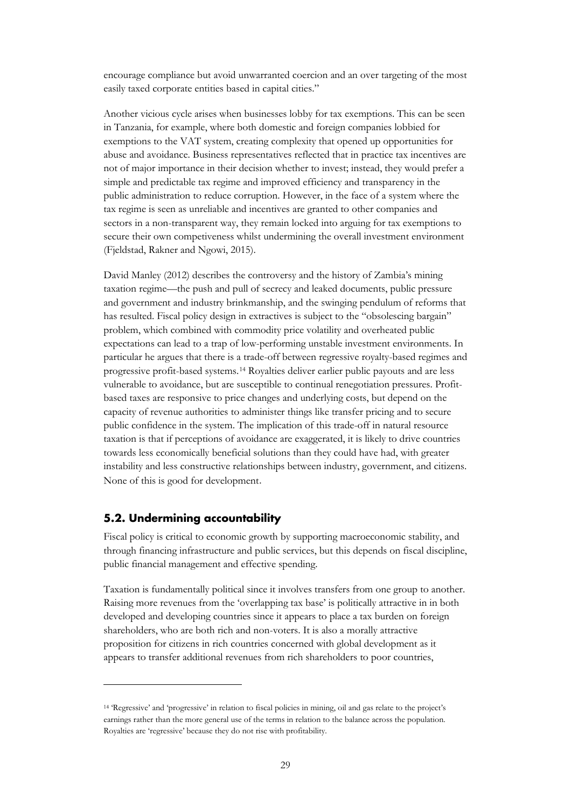encourage compliance but avoid unwarranted coercion and an over targeting of the most easily taxed corporate entities based in capital cities."

Another vicious cycle arises when businesses lobby for tax exemptions. This can be seen in Tanzania, for example, where both domestic and foreign companies lobbied for exemptions to the VAT system, creating complexity that opened up opportunities for abuse and avoidance. Business representatives reflected that in practice tax incentives are not of major importance in their decision whether to invest; instead, they would prefer a simple and predictable tax regime and improved efficiency and transparency in the public administration to reduce corruption. However, in the face of a system where the tax regime is seen as unreliable and incentives are granted to other companies and sectors in a non-transparent way, they remain locked into arguing for tax exemptions to secure their own competiveness whilst undermining the overall investment environment (Fjeldstad, Rakner and Ngowi, 2015).

David Manley (2012) describes the controversy and the history of Zambia's mining taxation regime—the push and pull of secrecy and leaked documents, public pressure and government and industry brinkmanship, and the swinging pendulum of reforms that has resulted. Fiscal policy design in extractives is subject to the "obsolescing bargain" problem, which combined with commodity price volatility and overheated public expectations can lead to a trap of low-performing unstable investment environments. In particular he argues that there is a trade-off between regressive royalty-based regimes and progressive profit-based systems.[14](#page-30-1) Royalties deliver earlier public payouts and are less vulnerable to avoidance, but are susceptible to continual renegotiation pressures. Profitbased taxes are responsive to price changes and underlying costs, but depend on the capacity of revenue authorities to administer things like transfer pricing and to secure public confidence in the system. The implication of this trade-off in natural resource taxation is that if perceptions of avoidance are exaggerated, it is likely to drive countries towards less economically beneficial solutions than they could have had, with greater instability and less constructive relationships between industry, government, and citizens. None of this is good for development.

#### <span id="page-30-0"></span>**5.2. Undermining accountability**

1

Fiscal policy is critical to economic growth by supporting macroeconomic stability, and through financing infrastructure and public services, but this depends on fiscal discipline, public financial management and effective spending.

Taxation is fundamentally political since it involves transfers from one group to another. Raising more revenues from the 'overlapping tax base' is politically attractive in in both developed and developing countries since it appears to place a tax burden on foreign shareholders, who are both rich and non-voters. It is also a morally attractive proposition for citizens in rich countries concerned with global development as it appears to transfer additional revenues from rich shareholders to poor countries,

<span id="page-30-1"></span><sup>14</sup> 'Regressive' and 'progressive' in relation to fiscal policies in mining, oil and gas relate to the project's earnings rather than the more general use of the terms in relation to the balance across the population. Royalties are 'regressive' because they do not rise with profitability.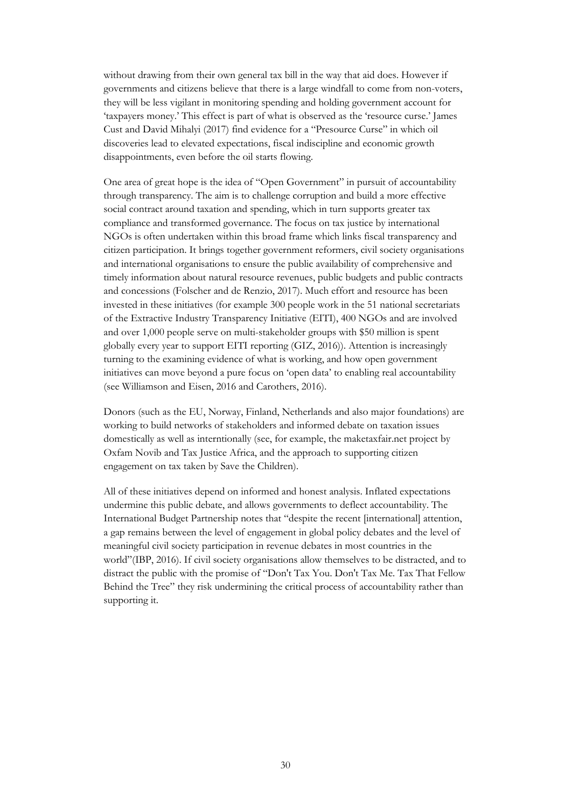without drawing from their own general tax bill in the way that aid does. However if governments and citizens believe that there is a large windfall to come from non-voters, they will be less vigilant in monitoring spending and holding government account for 'taxpayers money.' This effect is part of what is observed as the 'resource curse.' James Cust and David Mihalyi (2017) find evidence for a "Presource Curse" in which oil discoveries lead to elevated expectations, fiscal indiscipline and economic growth disappointments, even before the oil starts flowing.

One area of great hope is the idea of "Open Government" in pursuit of accountability through transparency. The aim is to challenge corruption and build a more effective social contract around taxation and spending, which in turn supports greater tax compliance and transformed governance. The focus on tax justice by international NGOs is often undertaken within this broad frame which links fiscal transparency and citizen participation. It brings together government reformers, civil society organisations and international organisations to ensure the public availability of comprehensive and timely information about natural resource revenues, public budgets and public contracts and concessions (Folscher and de Renzio, 2017). Much effort and resource has been invested in these initiatives (for example 300 people work in the 51 national secretariats of the Extractive Industry Transparency Initiative (EITI), 400 NGOs and are involved and over 1,000 people serve on multi-stakeholder groups with \$50 million is spent globally every year to support EITI reporting (GIZ, 2016)). Attention is increasingly turning to the examining evidence of what is working, and how open government initiatives can move beyond a pure focus on 'open data' to enabling real accountability (see Williamson and Eisen, 2016 and Carothers, 2016).

Donors (such as the EU, Norway, Finland, Netherlands and also major foundations) are working to build networks of stakeholders and informed debate on taxation issues domestically as well as interntionally (see, for example, the maketaxfair.net project by Oxfam Novib and Tax Justice Africa, and the approach to supporting citizen engagement on tax taken by Save the Children).

All of these initiatives depend on informed and honest analysis. Inflated expectations undermine this public debate, and allows governments to deflect accountability. The International Budget Partnership notes that "despite the recent [international] attention, a gap remains between the level of engagement in global policy debates and the level of meaningful civil society participation in revenue debates in most countries in the world"(IBP, 2016). If civil society organisations allow themselves to be distracted, and to distract the public with the promise of "Don't Tax You. Don't Tax Me. Tax That Fellow Behind the Tree" they risk undermining the critical process of accountability rather than supporting it.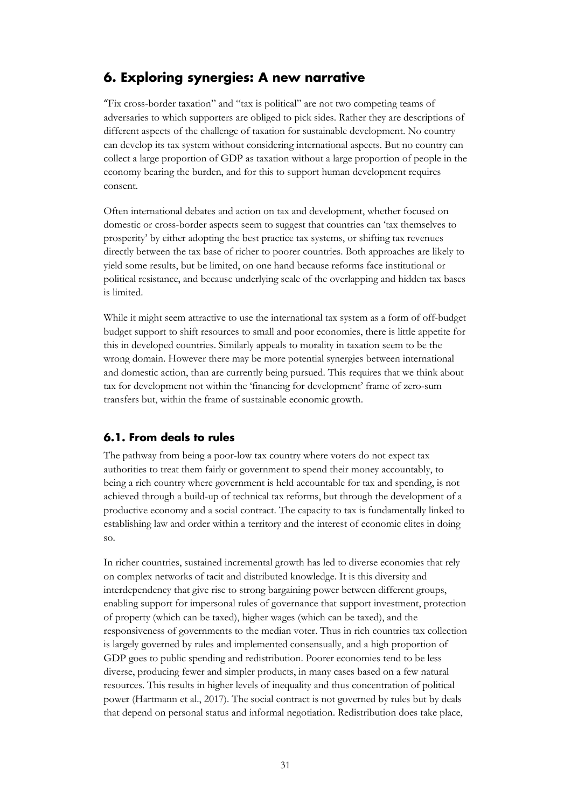## <span id="page-32-0"></span>**6. Exploring synergies: A new narrative**

"Fix cross-border taxation" and "tax is political" are not two competing teams of adversaries to which supporters are obliged to pick sides. Rather they are descriptions of different aspects of the challenge of taxation for sustainable development. No country can develop its tax system without considering international aspects. But no country can collect a large proportion of GDP as taxation without a large proportion of people in the economy bearing the burden, and for this to support human development requires consent.

Often international debates and action on tax and development, whether focused on domestic or cross-border aspects seem to suggest that countries can 'tax themselves to prosperity' by either adopting the best practice tax systems, or shifting tax revenues directly between the tax base of richer to poorer countries. Both approaches are likely to yield some results, but be limited, on one hand because reforms face institutional or political resistance, and because underlying scale of the overlapping and hidden tax bases is limited.

While it might seem attractive to use the international tax system as a form of off-budget budget support to shift resources to small and poor economies, there is little appetite for this in developed countries. Similarly appeals to morality in taxation seem to be the wrong domain. However there may be more potential synergies between international and domestic action, than are currently being pursued. This requires that we think about tax for development not within the 'financing for development' frame of zero-sum transfers but, within the frame of sustainable economic growth.

#### <span id="page-32-1"></span>**6.1. From deals to rules**

The pathway from being a poor-low tax country where voters do not expect tax authorities to treat them fairly or government to spend their money accountably, to being a rich country where government is held accountable for tax and spending, is not achieved through a build-up of technical tax reforms, but through the development of a productive economy and a social contract. The capacity to tax is fundamentally linked to establishing law and order within a territory and the interest of economic elites in doing so.

In richer countries, sustained incremental growth has led to diverse economies that rely on complex networks of tacit and distributed knowledge. It is this diversity and interdependency that give rise to strong bargaining power between different groups, enabling support for impersonal rules of governance that support investment, protection of property (which can be taxed), higher wages (which can be taxed), and the responsiveness of governments to the median voter. Thus in rich countries tax collection is largely governed by rules and implemented consensually, and a high proportion of GDP goes to public spending and redistribution. Poorer economies tend to be less diverse, producing fewer and simpler products, in many cases based on a few natural resources. This results in higher levels of inequality and thus concentration of political power (Hartmann et al., 2017). The social contract is not governed by rules but by deals that depend on personal status and informal negotiation. Redistribution does take place,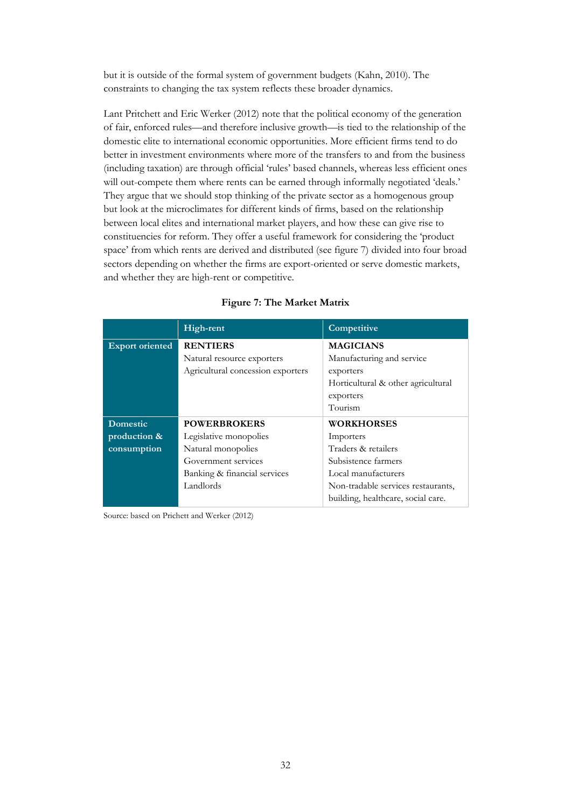but it is outside of the formal system of government budgets (Kahn, 2010). The constraints to changing the tax system reflects these broader dynamics.

Lant Pritchett and Eric Werker (2012) note that the political economy of the generation of fair, enforced rules—and therefore inclusive growth—is tied to the relationship of the domestic elite to international economic opportunities. More efficient firms tend to do better in investment environments where more of the transfers to and from the business (including taxation) are through official 'rules' based channels, whereas less efficient ones will out-compete them where rents can be earned through informally negotiated 'deals.' They argue that we should stop thinking of the private sector as a homogenous group but look at the microclimates for different kinds of firms, based on the relationship between local elites and international market players, and how these can give rise to constituencies for reform. They offer a useful framework for considering the 'product space' from which rents are derived and distributed (see figure 7) divided into four broad sectors depending on whether the firms are export-oriented or serve domestic markets, and whether they are high-rent or competitive.

|                        | High-rent                         | Competitive                        |
|------------------------|-----------------------------------|------------------------------------|
| <b>Export oriented</b> | <b>RENTIERS</b>                   | <b>MAGICIANS</b>                   |
|                        | Natural resource exporters        | Manufacturing and service          |
|                        | Agricultural concession exporters | exporters                          |
|                        |                                   | Horticultural & other agricultural |
|                        |                                   | exporters                          |
|                        |                                   | Tourism                            |
| <b>Domestic</b>        | <b>POWERBROKERS</b>               | <b>WORKHORSES</b>                  |
| production &           | Legislative monopolies            | Importers                          |
| consumption            | Natural monopolies                | Traders & retailers                |
|                        | Government services               | Subsistence farmers                |
|                        | Banking & financial services      | Local manufacturers                |
|                        | Landlords                         | Non-tradable services restaurants, |
|                        |                                   | building, healthcare, social care. |

#### **Figure 7: The Market Matrix**

Source: based on Prichett and Werker (2012)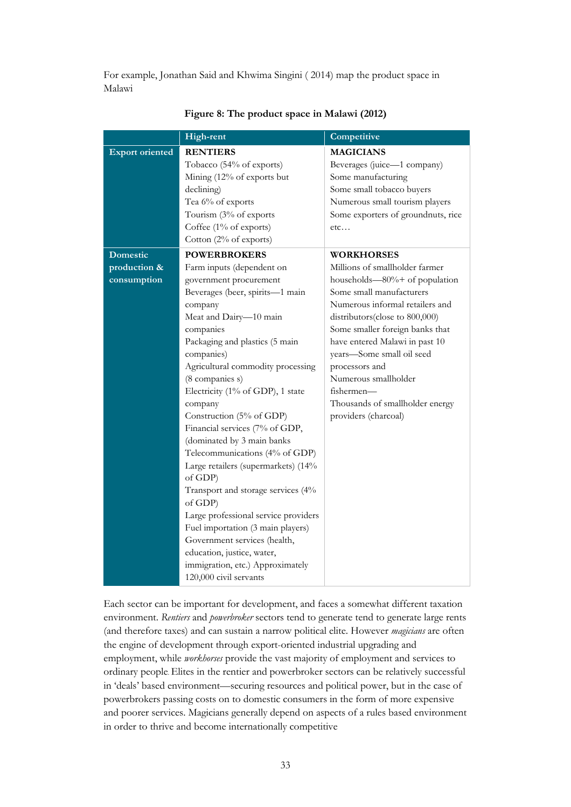For example, Jonathan Said and Khwima Singini ( 2014) map the product space in Malawi

|                        | High-rent                            | Competitive                        |
|------------------------|--------------------------------------|------------------------------------|
| <b>Export oriented</b> | <b>RENTIERS</b>                      | <b>MAGICIANS</b>                   |
|                        | Tobacco (54% of exports)             | Beverages (juice-1 company)        |
|                        | Mining (12% of exports but           | Some manufacturing                 |
|                        | declining)                           | Some small tobacco buyers          |
|                        | Tea 6% of exports                    | Numerous small tourism players     |
|                        | Tourism (3% of exports               | Some exporters of groundnuts, rice |
|                        | Coffee (1% of exports)               | etc                                |
|                        | Cotton (2% of exports)               |                                    |
| <b>Domestic</b>        | <b>POWERBROKERS</b>                  | <b>WORKHORSES</b>                  |
| production &           | Farm inputs (dependent on            | Millions of smallholder farmer     |
| consumption            | government procurement               | households-80%+ of population      |
|                        | Beverages (beer, spirits-1 main      | Some small manufacturers           |
|                        | company                              | Numerous informal retailers and    |
|                        | Meat and Dairy-10 main               | distributors(close to 800,000)     |
|                        | companies                            | Some smaller foreign banks that    |
|                        | Packaging and plastics (5 main       | have entered Malawi in past 10     |
|                        | companies)                           | years-Some small oil seed          |
|                        | Agricultural commodity processing    | processors and                     |
|                        | (8 companies s)                      | Numerous smallholder               |
|                        | Electricity (1% of GDP), 1 state     | fishermen-                         |
|                        | company                              | Thousands of smallholder energy    |
|                        | Construction (5% of GDP)             | providers (charcoal)               |
|                        | Financial services (7% of GDP,       |                                    |
|                        | (dominated by 3 main banks           |                                    |
|                        | Telecommunications (4% of GDP)       |                                    |
|                        | Large retailers (supermarkets) (14%  |                                    |
|                        | of GDP)                              |                                    |
|                        | Transport and storage services (4%   |                                    |
|                        | of GDP)                              |                                    |
|                        | Large professional service providers |                                    |
|                        | Fuel importation (3 main players)    |                                    |
|                        | Government services (health,         |                                    |
|                        | education, justice, water,           |                                    |
|                        | immigration, etc.) Approximately     |                                    |
|                        | 120,000 civil servants               |                                    |

**Figure 8: The product space in Malawi (2012)**

Each sector can be important for development, and faces a somewhat different taxation environment. *Rentiers* and *powerbroker* sectors tend to generate tend to generate large rents (and therefore taxes) and can sustain a narrow political elite. However *magicians* are often the engine of development through export-oriented industrial upgrading and employment, while *workhorses* provide the vast majority of employment and services to ordinary people. Elites in the rentier and powerbroker sectors can be relatively successful in 'deals' based environment—securing resources and political power, but in the case of powerbrokers passing costs on to domestic consumers in the form of more expensive and poorer services. Magicians generally depend on aspects of a rules based environment in order to thrive and become internationally competitive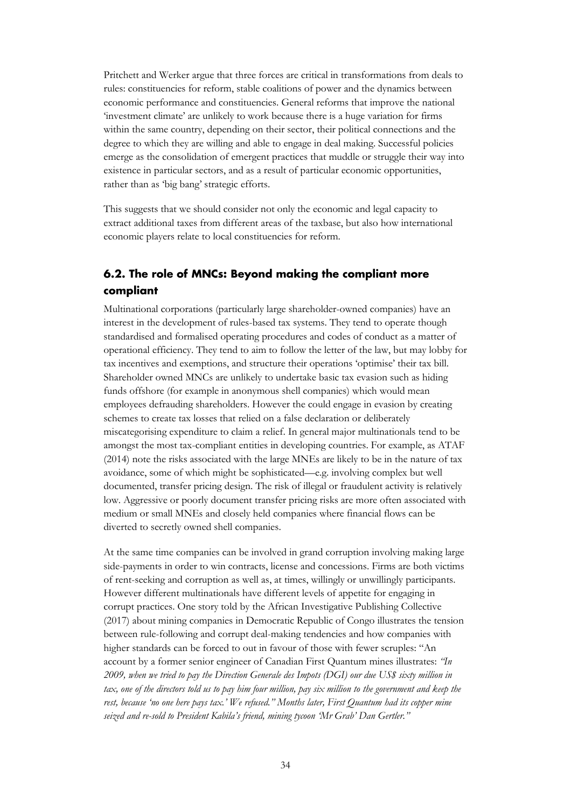Pritchett and Werker argue that three forces are critical in transformations from deals to rules: constituencies for reform, stable coalitions of power and the dynamics between economic performance and constituencies. General reforms that improve the national 'investment climate' are unlikely to work because there is a huge variation for firms within the same country, depending on their sector, their political connections and the degree to which they are willing and able to engage in deal making. Successful policies emerge as the consolidation of emergent practices that muddle or struggle their way into existence in particular sectors, and as a result of particular economic opportunities, rather than as 'big bang' strategic efforts.

This suggests that we should consider not only the economic and legal capacity to extract additional taxes from different areas of the taxbase, but also how international economic players relate to local constituencies for reform.

### <span id="page-35-0"></span>**6.2. The role of MNCs: Beyond making the compliant more compliant**

Multinational corporations (particularly large shareholder-owned companies) have an interest in the development of rules-based tax systems. They tend to operate though standardised and formalised operating procedures and codes of conduct as a matter of operational efficiency. They tend to aim to follow the letter of the law, but may lobby for tax incentives and exemptions, and structure their operations 'optimise' their tax bill. Shareholder owned MNCs are unlikely to undertake basic tax evasion such as hiding funds offshore (for example in anonymous shell companies) which would mean employees defrauding shareholders. However the could engage in evasion by creating schemes to create tax losses that relied on a false declaration or deliberately miscategorising expenditure to claim a relief. In general major multinationals tend to be amongst the most tax-compliant entities in developing countries. For example, as ATAF (2014) note the risks associated with the large MNEs are likely to be in the nature of tax avoidance, some of which might be sophisticated—e.g. involving complex but well documented, transfer pricing design. The risk of illegal or fraudulent activity is relatively low. Aggressive or poorly document transfer pricing risks are more often associated with medium or small MNEs and closely held companies where financial flows can be diverted to secretly owned shell companies.

At the same time companies can be involved in grand corruption involving making large side-payments in order to win contracts, license and concessions. Firms are both victims of rent-seeking and corruption as well as, at times, willingly or unwillingly participants. However different multinationals have different levels of appetite for engaging in corrupt practices. One story told by the African Investigative Publishing Collective (2017) about mining companies in Democratic Republic of Congo illustrates the tension between rule-following and corrupt deal-making tendencies and how companies with higher standards can be forced to out in favour of those with fewer scruples: "An account by a former senior engineer of Canadian First Quantum mines illustrates: *"In 2009, when we tried to pay the Direction Generale des Impots (DGI) our due US\$ sixty million in tax, one of the directors told us to pay him four million, pay six million to the government and keep the rest, because 'no one here pays tax.' We refused." Months later, First Quantum had its copper mine seized and re-sold to President Kabila's friend, mining tycoon 'Mr Grab' Dan Gertler."*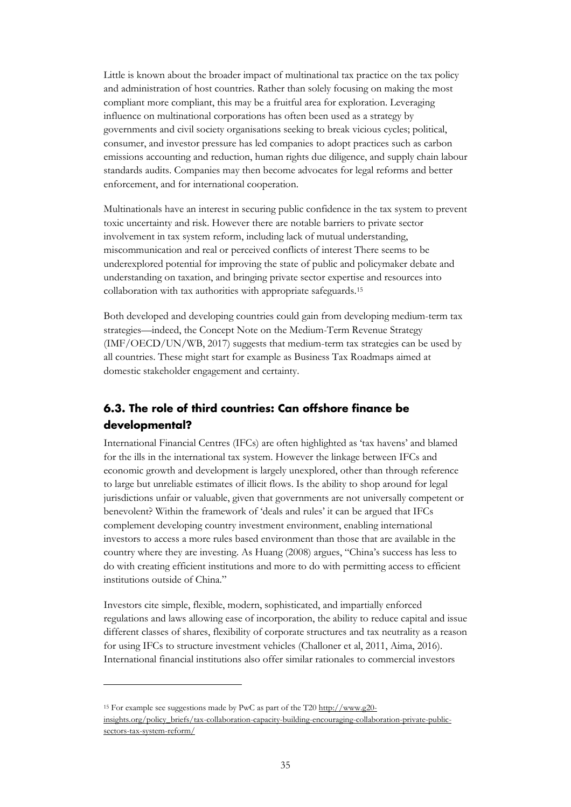Little is known about the broader impact of multinational tax practice on the tax policy and administration of host countries. Rather than solely focusing on making the most compliant more compliant, this may be a fruitful area for exploration. Leveraging influence on multinational corporations has often been used as a strategy by governments and civil society organisations seeking to break vicious cycles; political, consumer, and investor pressure has led companies to adopt practices such as carbon emissions accounting and reduction, human rights due diligence, and supply chain labour standards audits. Companies may then become advocates for legal reforms and better enforcement, and for international cooperation.

Multinationals have an interest in securing public confidence in the tax system to prevent toxic uncertainty and risk. However there are notable barriers to private sector involvement in tax system reform, including lack of mutual understanding, miscommunication and real or perceived conflicts of interest There seems to be underexplored potential for improving the state of public and policymaker debate and understanding on taxation, and bringing private sector expertise and resources into collaboration with tax authorities with appropriate safeguards.[15](#page-36-1)

Both developed and developing countries could gain from developing medium-term tax strategies—indeed, the Concept Note on the Medium-Term Revenue Strategy (IMF/OECD/UN/WB, 2017) suggests that medium-term tax strategies can be used by all countries. These might start for example as Business Tax Roadmaps aimed at domestic stakeholder engagement and certainty.

## <span id="page-36-0"></span>**6.3. The role of third countries: Can offshore finance be developmental?**

International Financial Centres (IFCs) are often highlighted as 'tax havens' and blamed for the ills in the international tax system. However the linkage between IFCs and economic growth and development is largely unexplored, other than through reference to large but unreliable estimates of illicit flows. Is the ability to shop around for legal jurisdictions unfair or valuable, given that governments are not universally competent or benevolent? Within the framework of 'deals and rules' it can be argued that IFCs complement developing country investment environment, enabling international investors to access a more rules based environment than those that are available in the country where they are investing. As Huang (2008) argues, "China's success has less to do with creating efficient institutions and more to do with permitting access to efficient institutions outside of China."

Investors cite simple, flexible, modern, sophisticated, and impartially enforced regulations and laws allowing ease of incorporation, the ability to reduce capital and issue different classes of shares, flexibility of corporate structures and tax neutrality as a reason for using IFCs to structure investment vehicles (Challoner et al, 2011, Aima, 2016). International financial institutions also offer similar rationales to commercial investors

1

<span id="page-36-1"></span><sup>15</sup> For example see suggestions made by PwC as part of the T20 [http://www.g20](http://www.g20-insights.org/policy_briefs/tax-collaboration-capacity-building-encouraging-collaboration-private-public-sectors-tax-system-reform/) [insights.org/policy\\_briefs/tax-collaboration-capacity-building-encouraging-collaboration-private-public](http://www.g20-insights.org/policy_briefs/tax-collaboration-capacity-building-encouraging-collaboration-private-public-sectors-tax-system-reform/)[sectors-tax-system-reform/](http://www.g20-insights.org/policy_briefs/tax-collaboration-capacity-building-encouraging-collaboration-private-public-sectors-tax-system-reform/)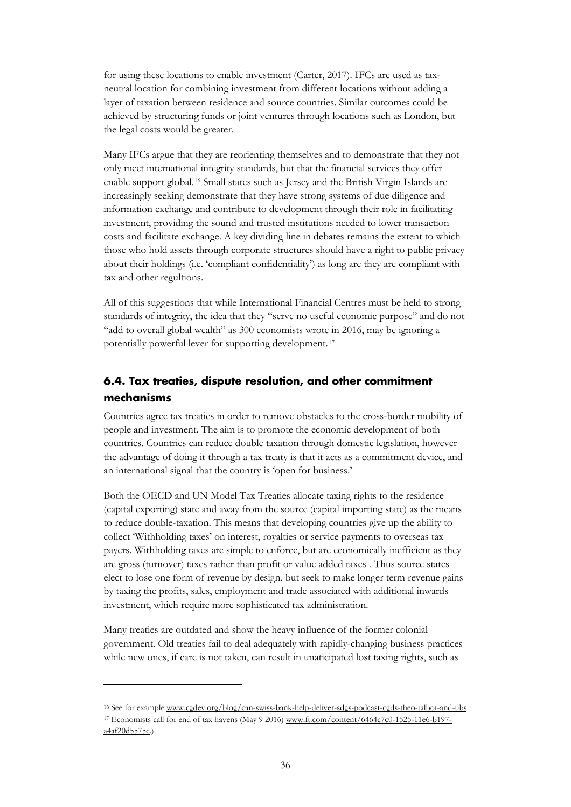for using these locations to enable investment (Carter, 2017). IFCs are used as taxneutral location for combining investment from different locations without adding a layer of taxation between residence and source countries. Similar outcomes could be achieved by structuring funds or joint ventures through locations such as London, but the legal costs would be greater.

Many IFCs argue that they are reorienting themselves and to demonstrate that they not only meet international integrity standards, but that the financial services they offer enable support global.[16](#page-37-1) Small states such as Jersey and the British Virgin Islands are increasingly seeking demonstrate that they have strong systems of due diligence and information exchange and contribute to development through their role in facilitating investment, providing the sound and trusted institutions needed to lower transaction costs and facilitate exchange. A key dividing line in debates remains the extent to which those who hold assets through corporate structures should have a right to public privacy about their holdings (i.e. 'compliant confidentiality') as long are they are compliant with tax and other regultions.

All of this suggestions that while International Financial Centres must be held to strong standards of integrity, the idea that they "serve no useful economic purpose" and do not "add to overall global wealth" as 300 economists wrote in 2016, may be ignoring a potentially powerful lever for supporting development.[17](#page-37-2)

## <span id="page-37-0"></span>**6.4. Tax treaties, dispute resolution, and other commitment mechanisms**

Countries agree tax treaties in order to remove obstacles to the cross-border mobility of people and investment. The aim is to promote the economic development of both countries. Countries can reduce double taxation through domestic legislation, however the advantage of doing it through a tax treaty is that it acts as a commitment device, and an international signal that the country is 'open for business.'

Both the OECD and UN Model Tax Treaties allocate taxing rights to the residence (capital exporting) state and away from the source (capital importing state) as the means to reduce double-taxation. This means that developing countries give up the ability to collect 'Withholding taxes' on interest, royalties or service payments to overseas tax payers. Withholding taxes are simple to enforce, but are economically inefficient as they are gross (turnover) taxes rather than profit or value added taxes . Thus source states elect to lose one form of revenue by design, but seek to make longer term revenue gains by taxing the profits, sales, employment and trade associated with additional inwards investment, which require more sophisticated tax administration.

Many treaties are outdated and show the heavy influence of the former colonial government. Old treaties fail to deal adequately with rapidly-changing business practices while new ones, if care is not taken, can result in unaticipated lost taxing rights, such as

1

<span id="page-37-2"></span><span id="page-37-1"></span><sup>16</sup> See for example [www.cgdev.org/blog/can-swiss-bank-help-deliver-sdgs-podcast-cgds-theo-talbot-and-ubs](http://www.cgdev.org/blog/can-swiss-bank-help-deliver-sdgs-podcast-cgds-theo-talbot-and-ubs) <sup>17</sup> Economists call for end of tax havens (May 9 2016) [www.ft.com/content/6464c7c0-1525-11e6-b197](http://www.ft.com/content/6464c7c0-1525-11e6-b197-a4af20d5575e) [a4af20d5575e.\)](http://www.ft.com/content/6464c7c0-1525-11e6-b197-a4af20d5575e)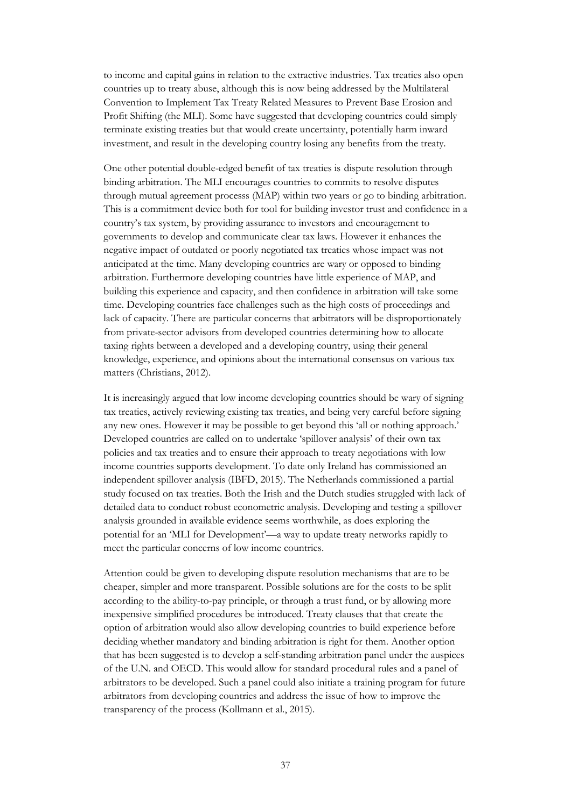to income and capital gains in relation to the extractive industries. Tax treaties also open countries up to treaty abuse, although this is now being addressed by the Multilateral Convention to Implement Tax Treaty Related Measures to Prevent Base Erosion and Profit Shifting (the MLI). Some have suggested that developing countries could simply terminate existing treaties but that would create uncertainty, potentially harm inward investment, and result in the developing country losing any benefits from the treaty.

One other potential double-edged benefit of tax treaties is dispute resolution through binding arbitration. The MLI encourages countries to commits to resolve disputes through mutual agreement processs (MAP) within two years or go to binding arbitration. This is a commitment device both for tool for building investor trust and confidence in a country's tax system, by providing assurance to investors and encouragement to governments to develop and communicate clear tax laws. However it enhances the negative impact of outdated or poorly negotiated tax treaties whose impact was not anticipated at the time. Many developing countries are wary or opposed to binding arbitration. Furthermore developing countries have little experience of MAP, and building this experience and capacity, and then confidence in arbitration will take some time. Developing countries face challenges such as the high costs of proceedings and lack of capacity. There are particular concerns that arbitrators will be disproportionately from private-sector advisors from developed countries determining how to allocate taxing rights between a developed and a developing country, using their general knowledge, experience, and opinions about the international consensus on various tax matters (Christians, 2012).

It is increasingly argued that low income developing countries should be wary of signing tax treaties, actively reviewing existing tax treaties, and being very careful before signing any new ones. However it may be possible to get beyond this 'all or nothing approach.' Developed countries are called on to undertake 'spillover analysis' of their own tax policies and tax treaties and to ensure their approach to treaty negotiations with low income countries supports development. To date only Ireland has commissioned an independent spillover analysis (IBFD, 2015). The Netherlands commissioned a partial study focused on tax treaties. Both the Irish and the Dutch studies struggled with lack of detailed data to conduct robust econometric analysis. Developing and testing a spillover analysis grounded in available evidence seems worthwhile, as does exploring the potential for an 'MLI for Development'—a way to update treaty networks rapidly to meet the particular concerns of low income countries.

Attention could be given to developing dispute resolution mechanisms that are to be cheaper, simpler and more transparent. Possible solutions are for the costs to be split according to the ability-to-pay principle, or through a trust fund, or by allowing more inexpensive simplified procedures be introduced. Treaty clauses that that create the option of arbitration would also allow developing countries to build experience before deciding whether mandatory and binding arbitration is right for them. Another option that has been suggested is to develop a self-standing arbitration panel under the auspices of the U.N. and OECD. This would allow for standard procedural rules and a panel of arbitrators to be developed. Such a panel could also initiate a training program for future arbitrators from developing countries and address the issue of how to improve the transparency of the process (Kollmann et al., 2015).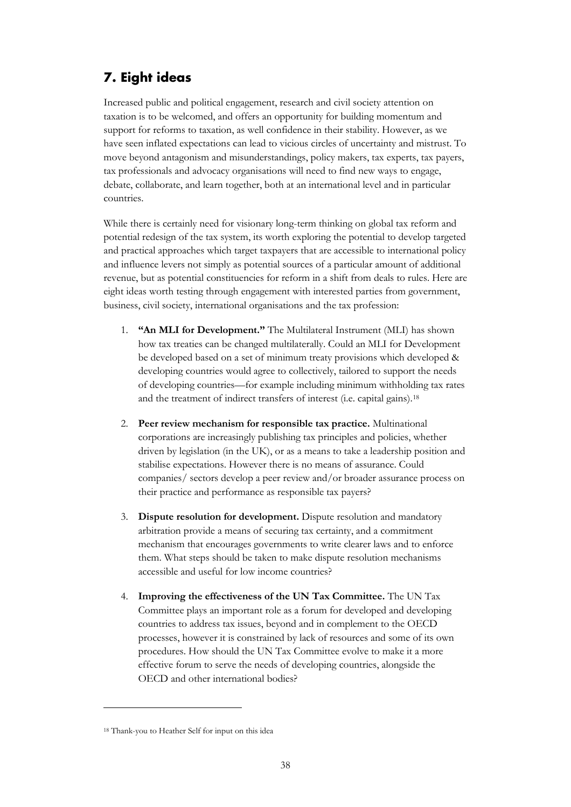## <span id="page-39-0"></span>**7. Eight ideas**

Increased public and political engagement, research and civil society attention on taxation is to be welcomed, and offers an opportunity for building momentum and support for reforms to taxation, as well confidence in their stability. However, as we have seen inflated expectations can lead to vicious circles of uncertainty and mistrust. To move beyond antagonism and misunderstandings, policy makers, tax experts, tax payers, tax professionals and advocacy organisations will need to find new ways to engage, debate, collaborate, and learn together, both at an international level and in particular countries.

While there is certainly need for visionary long-term thinking on global tax reform and potential redesign of the tax system, its worth exploring the potential to develop targeted and practical approaches which target taxpayers that are accessible to international policy and influence levers not simply as potential sources of a particular amount of additional revenue, but as potential constituencies for reform in a shift from deals to rules. Here are eight ideas worth testing through engagement with interested parties from government, business, civil society, international organisations and the tax profession:

- 1. **"An MLI for Development."** The Multilateral Instrument (MLI) has shown how tax treaties can be changed multilaterally. Could an MLI for Development be developed based on a set of minimum treaty provisions which developed & developing countries would agree to collectively, tailored to support the needs of developing countries—for example including minimum withholding tax rates and the treatment of indirect transfers of interest (i.e. capital gains).[18](#page-39-1)
- 2. **Peer review mechanism for responsible tax practice.** Multinational corporations are increasingly publishing tax principles and policies, whether driven by legislation (in the UK), or as a means to take a leadership position and stabilise expectations. However there is no means of assurance. Could companies/ sectors develop a peer review and/or broader assurance process on their practice and performance as responsible tax payers?
- 3. **Dispute resolution for development.** Dispute resolution and mandatory arbitration provide a means of securing tax certainty, and a commitment mechanism that encourages governments to write clearer laws and to enforce them. What steps should be taken to make dispute resolution mechanisms accessible and useful for low income countries?
- 4. **Improving the effectiveness of the UN Tax Committee.** The UN Tax Committee plays an important role as a forum for developed and developing countries to address tax issues, beyond and in complement to the OECD processes, however it is constrained by lack of resources and some of its own procedures. How should the UN Tax Committee evolve to make it a more effective forum to serve the needs of developing countries, alongside the OECD and other international bodies?

1

<span id="page-39-1"></span><sup>18</sup> Thank-you to Heather Self for input on this idea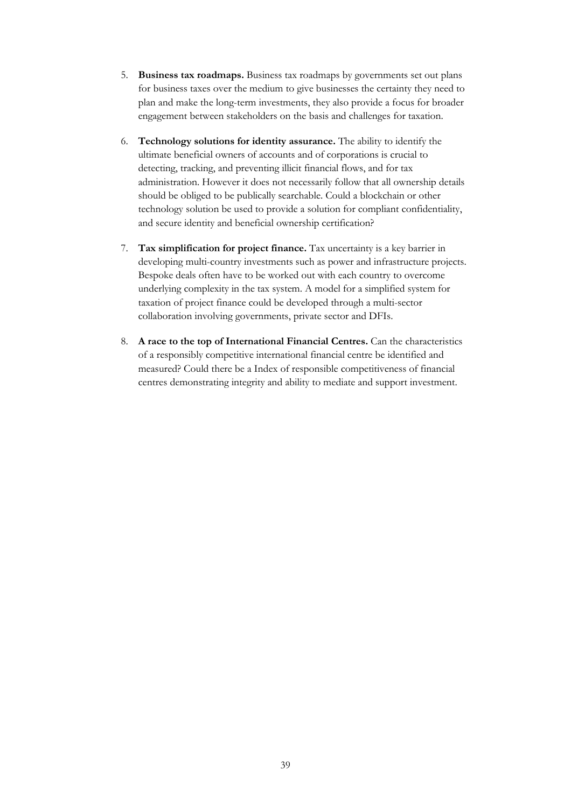- 5. **Business tax roadmaps.** Business tax roadmaps by governments set out plans for business taxes over the medium to give businesses the certainty they need to plan and make the long-term investments, they also provide a focus for broader engagement between stakeholders on the basis and challenges for taxation.
- 6. **Technology solutions for identity assurance.** The ability to identify the ultimate beneficial owners of accounts and of corporations is crucial to detecting, tracking, and preventing illicit financial flows, and for tax administration. However it does not necessarily follow that all ownership details should be obliged to be publically searchable. Could a blockchain or other technology solution be used to provide a solution for compliant confidentiality, and secure identity and beneficial ownership certification?
- 7. **Tax simplification for project finance.** Tax uncertainty is a key barrier in developing multi-country investments such as power and infrastructure projects. Bespoke deals often have to be worked out with each country to overcome underlying complexity in the tax system. A model for a simplified system for taxation of project finance could be developed through a multi-sector collaboration involving governments, private sector and DFIs.
- 8. **A race to the top of International Financial Centres.** Can the characteristics of a responsibly competitive international financial centre be identified and measured? Could there be a Index of responsible competitiveness of financial centres demonstrating integrity and ability to mediate and support investment.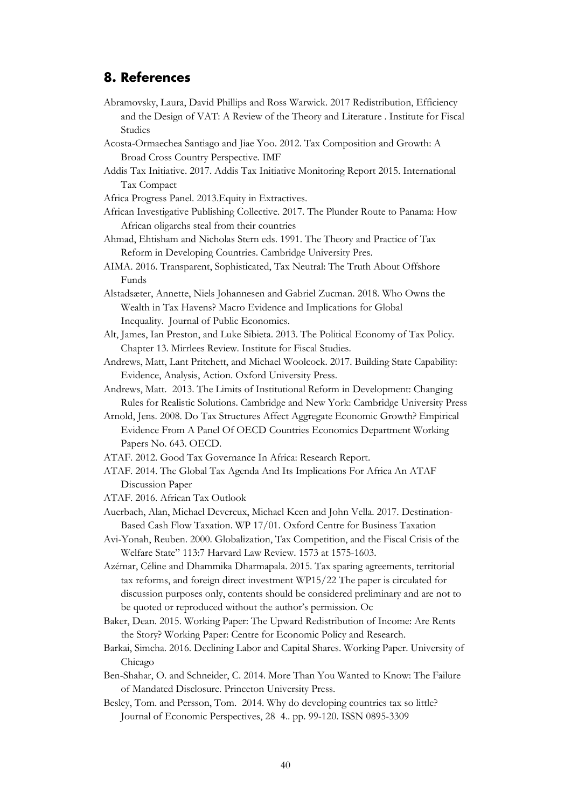### <span id="page-41-0"></span>**8. References**

- Abramovsky, Laura, David Phillips and Ross Warwick. 2017 Redistribution, Efficiency and the Design of VAT: A Review of the Theory and Literature . Institute for Fiscal Studies
- Acosta-Ormaechea Santiago and Jiae Yoo. 2012. Tax Composition and Growth: A Broad Cross Country Perspective. IMF
- Addis Tax Initiative. 2017. Addis Tax Initiative Monitoring Report 2015. International Tax Compact
- Africa Progress Panel. 2013.Equity in Extractives.
- African Investigative Publishing Collective. 2017. The Plunder Route to Panama: How African oligarchs steal from their countries
- Ahmad, Ehtisham and Nicholas Stern eds. 1991. The Theory and Practice of Tax Reform in Developing Countries. Cambridge University Pres.
- AIMA. 2016. Transparent, Sophisticated, Tax Neutral: The Truth About Offshore Funds
- Alstadsæter, Annette, Niels Johannesen and Gabriel Zucman. 2018. Who Owns the Wealth in Tax Havens? Macro Evidence and Implications for Global Inequality. Journal of Public Economics.
- Alt, James, Ian Preston, and Luke Sibieta. 2013. The Political Economy of Tax Policy. Chapter 13. Mirrlees Review. Institute for Fiscal Studies.
- Andrews, Matt, Lant Pritchett, and Michael Woolcock. 2017. Building State Capability: Evidence, Analysis, Action. Oxford University Press.
- Andrews, Matt. 2013. The Limits of Institutional Reform in Development: Changing Rules for Realistic Solutions. Cambridge and New York: Cambridge University Press
- Arnold, Jens. 2008. Do Tax Structures Affect Aggregate Economic Growth? Empirical Evidence From A Panel Of OECD Countries Economics Department Working Papers No. 643. OECD.
- ATAF. 2012. Good Tax Governance In Africa: Research Report.
- ATAF. 2014. The Global Tax Agenda And Its Implications For Africa An ATAF Discussion Paper
- ATAF. 2016. African Tax Outlook
- Auerbach, Alan, Michael Devereux, Michael Keen and John Vella. 2017. Destination-Based Cash Flow Taxation. WP 17/01. Oxford Centre for Business Taxation
- Avi-Yonah, Reuben. 2000. Globalization, Tax Competition, and the Fiscal Crisis of the Welfare State" 113:7 Harvard Law Review. 1573 at 1575-1603.
- Azémar, Céline and Dhammika Dharmapala. 2015. Tax sparing agreements, territorial tax reforms, and foreign direct investment WP15/22 The paper is circulated for discussion purposes only, contents should be considered preliminary and are not to be quoted or reproduced without the author's permission. Oc
- Baker, Dean. 2015. Working Paper: The Upward Redistribution of Income: Are Rents the Story? Working Paper: Centre for Economic Policy and Research.
- Barkai, Simcha. 2016. Declining Labor and Capital Shares. Working Paper. University of Chicago
- Ben-Shahar, O. and Schneider, C. 2014. More Than You Wanted to Know: The Failure of Mandated Disclosure. Princeton University Press.
- Besley, Tom. and Persson, Tom. 2014. Why do developing countries tax so little? Journal of Economic Perspectives, 28 4.. pp. 99-120. ISSN 0895-3309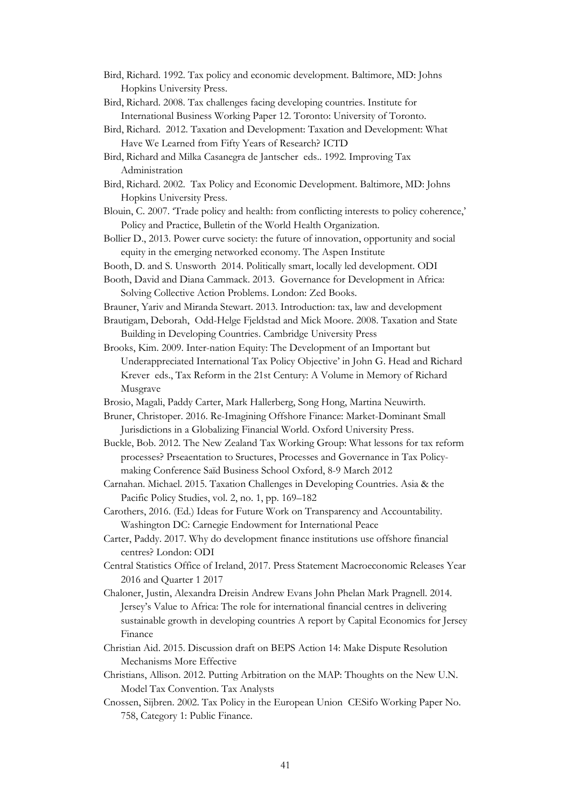- Bird, Richard. 1992. Tax policy and economic development. Baltimore, MD: Johns Hopkins University Press.
- Bird, Richard. 2008. Tax challenges facing developing countries. Institute for International Business Working Paper 12. Toronto: University of Toronto.
- Bird, Richard. 2012. Taxation and Development: Taxation and Development: What Have We Learned from Fifty Years of Research? ICTD
- Bird, Richard and Milka Casanegra de Jantscher eds.. 1992. Improving Tax Administration
- Bird, Richard. 2002. Tax Policy and Economic Development. Baltimore, MD: Johns Hopkins University Press.
- Blouin, C. 2007. 'Trade policy and health: from conflicting interests to policy coherence,' Policy and Practice, Bulletin of the World Health Organization.
- Bollier D., 2013. Power curve society: the future of innovation, opportunity and social equity in the emerging networked economy. The Aspen Institute
- Booth, D. and S. Unsworth 2014. Politically smart, locally led development. ODI
- Booth, David and Diana Cammack. 2013. Governance for Development in Africa: Solving Collective Action Problems. London: Zed Books.
- Brauner, Yariv and Miranda Stewart. 2013. Introduction: tax, law and development
- Brautigam, Deborah, Odd-Helge Fjeldstad and Mick Moore. 2008. Taxation and State Building in Developing Countries. Cambridge University Press
- Brooks, Kim. 2009. Inter-nation Equity: The Development of an Important but Underappreciated International Tax Policy Objective' in John G. Head and Richard Krever eds., Tax Reform in the 21st Century: A Volume in Memory of Richard Musgrave
- Brosio, Magali, Paddy Carter, Mark Hallerberg, Song Hong, Martina Neuwirth.
- Bruner, Christoper. 2016. Re-Imagining Offshore Finance: Market-Dominant Small Jurisdictions in a Globalizing Financial World. Oxford University Press.
- Buckle, Bob. 2012. The New Zealand Tax Working Group: What lessons for tax reform processes? Prseaentation to Sructures, Processes and Governance in Tax Policymaking Conference Saïd Business School Oxford, 8-9 March 2012
- Carnahan. Michael. 2015. Taxation Challenges in Developing Countries. Asia & the Pacific Policy Studies, vol. 2, no. 1, pp. 169–182
- Carothers, 2016. (Ed.) Ideas for Future Work on Transparency and Accountability. Washington DC: Carnegie Endowment for International Peace
- Carter, Paddy. 2017. Why do development finance institutions use offshore financial centres? London: ODI
- Central Statistics Office of Ireland, 2017. Press Statement Macroeconomic Releases Year 2016 and Quarter 1 2017
- Chaloner, Justin, Alexandra Dreisin Andrew Evans John Phelan Mark Pragnell. 2014. Jersey's Value to Africa: The role for international financial centres in delivering sustainable growth in developing countries A report by Capital Economics for Jersey Finance
- Christian Aid. 2015. Discussion draft on BEPS Action 14: Make Dispute Resolution Mechanisms More Effective
- Christians, Allison. 2012. Putting Arbitration on the MAP: Thoughts on the New U.N. Model Tax Convention. Tax Analysts
- Cnossen, Sijbren. 2002. Tax Policy in the European Union CESifo Working Paper No. 758, Category 1: Public Finance.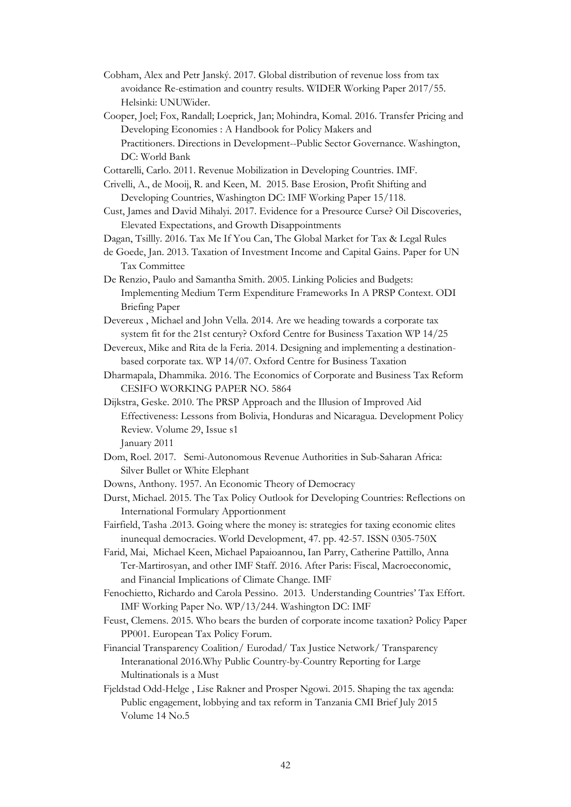- Cobham, Alex and Petr Janský. 2017. Global distribution of revenue loss from tax avoidance Re-estimation and country results. WIDER Working Paper 2017/55. Helsinki: UNUWider.
- Cooper, Joel; Fox, Randall; Loeprick, Jan; Mohindra, Komal. 2016. Transfer Pricing and Developing Economies : A Handbook for Policy Makers and Practitioners. Directions in Development--Public Sector Governance. Washington, DC: World Bank
- Cottarelli, Carlo. 2011. Revenue Mobilization in Developing Countries. IMF.
- Crivelli, A., de Mooij, R. and Keen, M. 2015. Base Erosion, Profit Shifting and Developing Countries, Washington DC: IMF Working Paper 15/118.
- Cust, James and David Mihalyi. 2017. Evidence for a Presource Curse? Oil Discoveries, Elevated Expectations, and Growth Disappointments
- Dagan, Tsillly. 2016. Tax Me If You Can, The Global Market for Tax & Legal Rules
- de Goede, Jan. 2013. Taxation of Investment Income and Capital Gains. Paper for UN Tax Committee
- De Renzio, Paulo and Samantha Smith. 2005. Linking Policies and Budgets: Implementing Medium Term Expenditure Frameworks In A PRSP Context. ODI Briefing Paper
- Devereux , Michael and John Vella. 2014. Are we heading towards a corporate tax system fit for the 21st century? Oxford Centre for Business Taxation WP 14/25
- Devereux, Mike and Rita de la Feria. 2014. Designing and implementing a destinationbased corporate tax. WP 14/07. Oxford Centre for Business Taxation
- Dharmapala, Dhammika. 2016. The Economics of Corporate and Business Tax Reform CESIFO WORKING PAPER NO. 5864
- Dijkstra, Geske. 2010. The PRSP Approach and the Illusion of Improved Aid Effectiveness: Lessons from Bolivia, Honduras and Nicaragua. Development Policy Review. Volume 29, Issue s1 January 2011
- Dom, Roel. 2017. Semi-Autonomous Revenue Authorities in Sub-Saharan Africa: Silver Bullet or White Elephant
- Downs, Anthony. 1957. An Economic Theory of Democracy
- Durst, Michael. 2015. The Tax Policy Outlook for Developing Countries: Reflections on International Formulary Apportionment
- Fairfield, Tasha .2013. Going where the money is: strategies for taxing economic elites inunequal democracies. World Development, 47. pp. 42-57. ISSN 0305-750X
- Farid, Mai, Michael Keen, Michael Papaioannou, Ian Parry, Catherine Pattillo, Anna Ter-Martirosyan, and other IMF Staff. 2016. After Paris: Fiscal, Macroeconomic, and Financial Implications of Climate Change. IMF
- Fenochietto, Richardo and Carola Pessino. 2013. Understanding Countries' Tax Effort. IMF Working Paper No. WP/13/244. Washington DC: IMF
- Feust, Clemens. 2015. Who bears the burden of corporate income taxation? Policy Paper PP001. European Tax Policy Forum.
- Financial Transparency Coalition/ Eurodad/ Tax Justice Network/ Transparency Interanational 2016.Why Public Country-by-Country Reporting for Large Multinationals is a Must
- Fjeldstad Odd-Helge , Lise Rakner and Prosper Ngowi. 2015. Shaping the tax agenda: Public engagement, lobbying and tax reform in Tanzania CMI Brief July 2015 Volume 14 No.5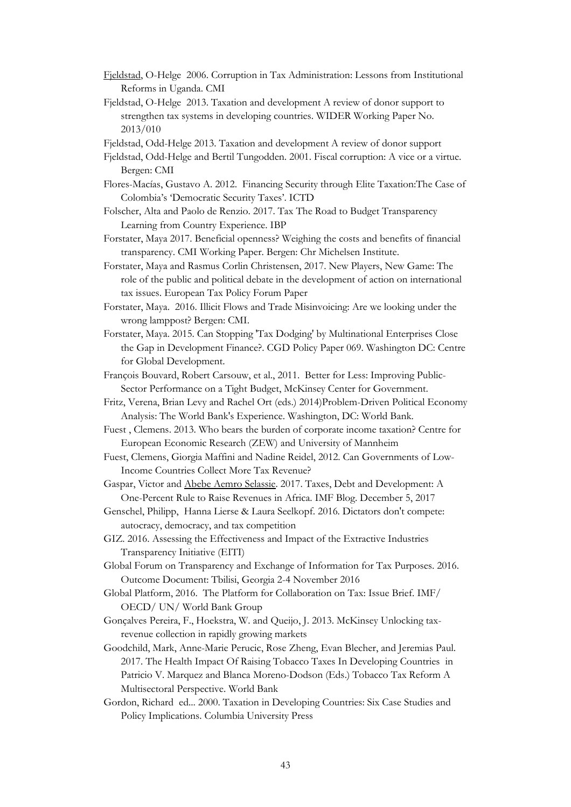- [Fjeldstad,](https://www.cmi.no/staff/odd-fjeldstad) O-Helge 2006. Corruption in Tax Administration: Lessons from Institutional Reforms in Uganda. CMI
- Fjeldstad, O-Helge 2013. Taxation and development A review of donor support to strengthen tax systems in developing countries. WIDER Working Paper No. 2013/010
- Fjeldstad, Odd-Helge 2013. Taxation and development A review of donor support
- Fjeldstad, Odd-Helge and Bertil Tungodden. 2001. Fiscal corruption: A vice or a virtue. Bergen: CMI
- Flores-Macías, Gustavo A. 2012. Financing Security through Elite Taxation:The Case of Colombia's 'Democratic Security Taxes'. ICTD
- Folscher, Alta and Paolo de Renzio. 2017. Tax The Road to Budget Transparency Learning from Country Experience. IBP
- Forstater, Maya 2017. Beneficial openness? Weighing the costs and benefits of financial transparency. CMI Working Paper. Bergen: Chr Michelsen Institute.
- Forstater, Maya and Rasmus Corlin Christensen, 2017. New Players, New Game: The role of the public and political debate in the development of action on international tax issues. European Tax Policy Forum Paper
- Forstater, Maya. 2016. Illicit Flows and Trade Misinvoicing: Are we looking under the wrong lamppost? Bergen: CMI.
- Forstater, Maya. 2015. Can Stopping 'Tax Dodging' by Multinational Enterprises Close the Gap in Development Finance?. CGD Policy Paper 069. Washington DC: Centre for Global Development.
- François Bouvard, Robert Carsouw, et al., 2011. Better for Less: Improving Public-Sector Performance on a Tight Budget, McKinsey Center for Government.
- Fritz, Verena, Brian Levy and Rachel Ort (eds.) 2014)Problem-Driven Political Economy Analysis: The World Bank's Experience. Washington, DC: World Bank.
- Fuest , Clemens. 2013. Who bears the burden of corporate income taxation? Centre for European Economic Research (ZEW) and University of Mannheim
- Fuest, Clemens, Giorgia Maffini and Nadine Reidel, 2012. Can Governments of Low-Income Countries Collect More Tax Revenue?
- Gaspar, Victor and [Abebe Aemro Selassie.](https://blogs.imf.org/bloggers/abebe-aemro-selassie/) 2017. Taxes, Debt and Development: A One-Percent Rule to Raise Revenues in Africa. IMF Blog. December 5, 2017
- Genschel, Philipp, Hanna Lierse & Laura Seelkopf. 2016. Dictators don't compete: autocracy, democracy, and tax competition
- GIZ. 2016. Assessing the Effectiveness and Impact of the Extractive Industries Transparency Initiative (EITI)
- Global Forum on Transparency and Exchange of Information for Tax Purposes. 2016. Outcome Document: Tbilisi, Georgia 2-4 November 2016
- Global Platform, 2016. The Platform for Collaboration on Tax: Issue Brief. IMF/ OECD/ UN/ World Bank Group
- Gonçalves Pereira, F., Hoekstra, W. and Queijo, J. 2013. McKinsey Unlocking taxrevenue collection in rapidly growing markets
- Goodchild, Mark, Anne-Marie Perucic, Rose Zheng, Evan Blecher, and Jeremias Paul. 2017. The Health Impact Of Raising Tobacco Taxes In Developing Countries in Patricio V. Marquez and Blanca Moreno-Dodson (Eds.) Tobacco Tax Reform A Multisectoral Perspective. World Bank
- Gordon, Richard ed... 2000. Taxation in Developing Countries: Six Case Studies and Policy Implications. Columbia University Press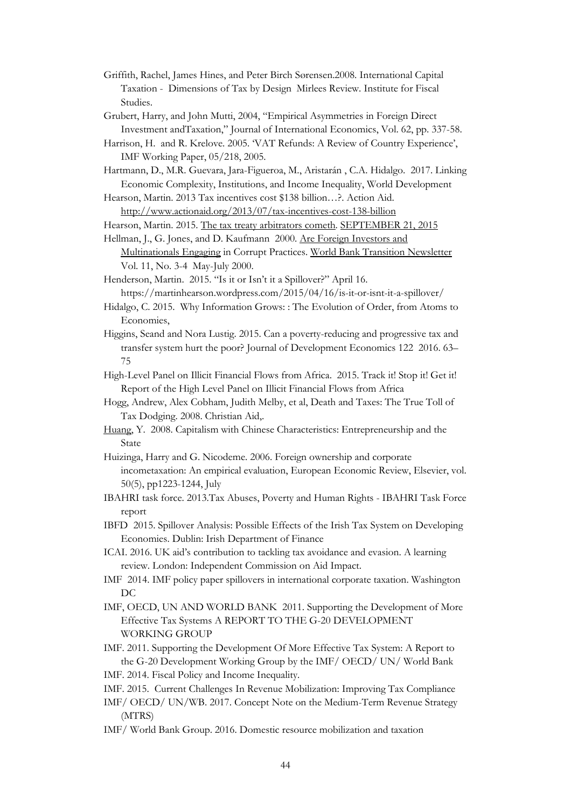- Griffith, Rachel, James Hines, and Peter Birch Sørensen.2008. International Capital Taxation - Dimensions of Tax by Design Mirlees Review. Institute for Fiscal Studies.
- Grubert, Harry, and John Mutti, 2004, "Empirical Asymmetries in Foreign Direct Investment andTaxation," Journal of International Economics, Vol. 62, pp. 337-58.
- Harrison, H. and R. Krelove. 2005. 'VAT Refunds: A Review of Country Experience', IMF Working Paper, 05/218, 2005.
- Hartmann, D., M.R. Guevara, Jara-Figueroa, M., Aristarán , C.A. Hidalgo. 2017. Linking Economic Complexity, Institutions, and Income Inequality, World Development
- Hearson, Martin. 2013 Tax incentives cost \$138 billion…?. Action Aid. <http://www.actionaid.org/2013/07/tax-incentives-cost-138-billion>
- Hearson, Martin. 2015. [The tax treaty arbitrators](https://martinhearson.wordpress.com/2015/09/21/the-tax-treaty-arbitrators-cometh/) cometh. [SEPTEMBER 21, 2015](https://martinhearson.wordpress.com/2015/09/21/the-tax-treaty-arbitrators-cometh/)
- Hellman, J., G. Jones, and D. Kaufmann 2000. Are Foreign Investors and

[Multinationals Engaging](https://www.globalpolicy.org/component/content/article/221-transnational-corporations/46760.html) in Corrupt Practices. [World Bank Transition Newsletter](http://www.worldbank.org/html/prddr/trans/May-Aug2000/pgs4-7.htm) Vol. 11, No. 3-4 May-July 2000.

- Henderson, Martin. 2015. "Is it or Isn't it a Spillover?" April 16. https://martinhearson.wordpress.com/2015/04/16/is-it-or-isnt-it-a-spillover/
- Hidalgo, C. 2015. Why Information Grows: : The Evolution of Order, from Atoms to Economies,
- Higgins, Seand and Nora Lustig. 2015. Can a poverty-reducing and progressive tax and transfer system hurt the poor? Journal of Development Economics 122 2016. 63– 75
- High-Level Panel on Illicit Financial Flows from Africa. 2015. Track it! Stop it! Get it! Report of the High Level Panel on Illicit Financial Flows from Africa
- Hogg, Andrew, Alex Cobham, Judith Melby, et al, Death and Taxes: The True Toll of Tax Dodging. 2008. Christian Aid,.
- [Huang,](http://www.cambridge.org/us/academic/subjects/economics/public-economics-and-public-policy/capitalism-chinese-characteristics-entrepreneurship-and-state?format=HB&isbn=9780521898102#bookPeople) Y. 2008. Capitalism with Chinese Characteristics: Entrepreneurship and the State
- Huizinga, Harry and G. Nicodeme. 2006. Foreign ownership and corporate incometaxation: An empirical evaluation, European Economic Review, Elsevier, vol. 50(5), pp1223-1244, July
- IBAHRI task force. 2013.Tax Abuses, Poverty and Human Rights IBAHRI Task Force report
- IBFD 2015. Spillover Analysis: Possible Effects of the Irish Tax System on Developing Economies. Dublin: Irish Department of Finance
- ICAI. 2016. UK aid's contribution to tackling tax avoidance and evasion. A learning review. London: Independent Commission on Aid Impact.
- IMF 2014. IMF policy paper spillovers in international corporate taxation. Washington DC
- IMF, OECD, UN AND WORLD BANK 2011. Supporting the Development of More Effective Tax Systems A REPORT TO THE G-20 DEVELOPMENT WORKING GROUP
- IMF. 2011. Supporting the Development Of More Effective Tax System: A Report to the G-20 Development Working Group by the IMF/ OECD/ UN/ World Bank
- IMF. 2014. Fiscal Policy and Income Inequality.
- IMF. 2015. Current Challenges In Revenue Mobilization: Improving Tax Compliance
- IMF/ OECD/ UN/WB. 2017. Concept Note on the Medium-Term Revenue Strategy (MTRS)
- IMF/ World Bank Group. 2016. Domestic resource mobilization and taxation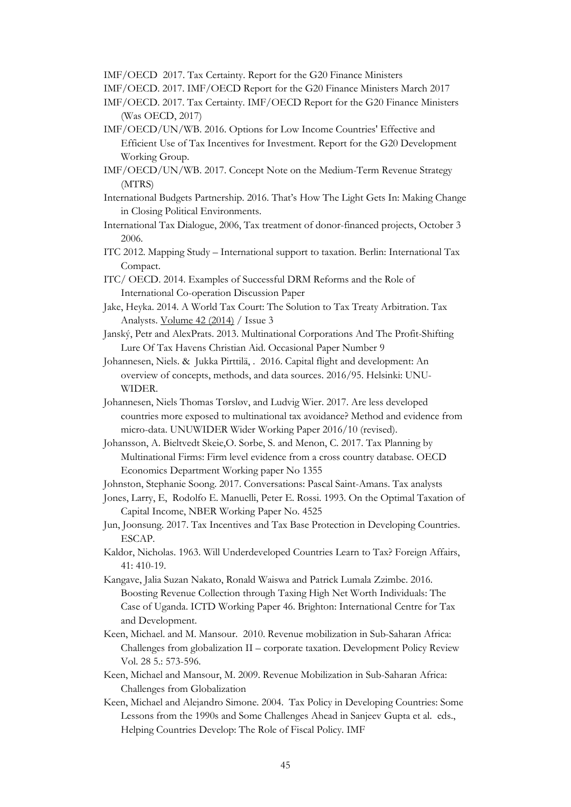IMF/OECD 2017. Tax Certainty. Report for the G20 Finance Ministers

- IMF/OECD. 2017. IMF/OECD Report for the G20 Finance Ministers March 2017
- IMF/OECD. 2017. Tax Certainty. IMF/OECD Report for the G20 Finance Ministers (Was OECD, 2017)
- IMF/OECD/UN/WB. 2016. Options for Low Income Countries' Effective and Efficient Use of Tax Incentives for Investment. Report for the G20 Development Working Group.
- IMF/OECD/UN/WB. 2017. Concept Note on the Medium-Term Revenue Strategy (MTRS)
- International Budgets Partnership. 2016. That's How The Light Gets In: Making Change in Closing Political Environments.
- International Tax Dialogue, 2006, Tax treatment of donor-financed projects, October 3 2006.
- ITC 2012. Mapping Study International support to taxation. Berlin: International Tax Compact.
- ITC/ OECD. 2014. Examples of Successful DRM Reforms and the Role of International Co-operation Discussion Paper
- Jake, Heyka. 2014. A World Tax Court: The Solution to Tax Treaty Arbitration. Tax Analysts. [Volume 42 \(2014\)](https://www.kluwerlawonline.com/toc.php?area=Journals&mode=bypub&level=5&values=Journals%7E%7EIntertax%7EVolume+42+%282014%29) / Issue 3
- Janský, Petr and AlexPrats. 2013. Multinational Corporations And The Profit-Shifting Lure Of Tax Havens Christian Aid. Occasional Paper Number 9
- Johannesen, Niels. & Jukka Pirttilä, . 2016. Capital flight and development: An overview of concepts, methods, and data sources. 2016/95. Helsinki: UNU-WIDER.
- Johannesen, Niels Thomas Tørsløv, and Ludvig Wier. 2017. Are less developed countries more exposed to multinational tax avoidance? Method and evidence from micro-data. UNUWIDER Wider Working Paper 2016/10 (revised).
- Johansson, A. Bieltvedt Skeie,O. Sorbe, S. and Menon, C. 2017. Tax Planning by Multinational Firms: Firm level evidence from a cross country database. OECD Economics Department Working paper No 1355
- Johnston, Stephanie Soong. 2017. Conversations: Pascal Saint-Amans. Tax analysts
- Jones, Larry, E, Rodolfo E. Manuelli, Peter E. Rossi. 1993. On the Optimal Taxation of Capital Income, NBER Working Paper No. 4525
- Jun, Joonsung. 2017. Tax Incentives and Tax Base Protection in Developing Countries. ESCAP.
- Kaldor, Nicholas. 1963. Will Underdeveloped Countries Learn to Tax? Foreign Affairs, 41: 410-19.
- Kangave, Jalia Suzan Nakato, Ronald Waiswa and Patrick Lumala Zzimbe. 2016. Boosting Revenue Collection through Taxing High Net Worth Individuals: The Case of Uganda. ICTD Working Paper 46. Brighton: International Centre for Tax and Development.
- Keen, Michael. and M. Mansour. 2010. Revenue mobilization in Sub-Saharan Africa: Challenges from globalization II – corporate taxation. Development Policy Review Vol. 28 5.: 573-596.
- Keen, Michael and Mansour, M. 2009. Revenue Mobilization in Sub-Saharan Africa: Challenges from Globalization
- Keen, Michael and Alejandro Simone. 2004. Tax Policy in Developing Countries: Some Lessons from the 1990s and Some Challenges Ahead in Sanjeev Gupta et al. eds., Helping Countries Develop: The Role of Fiscal Policy. IMF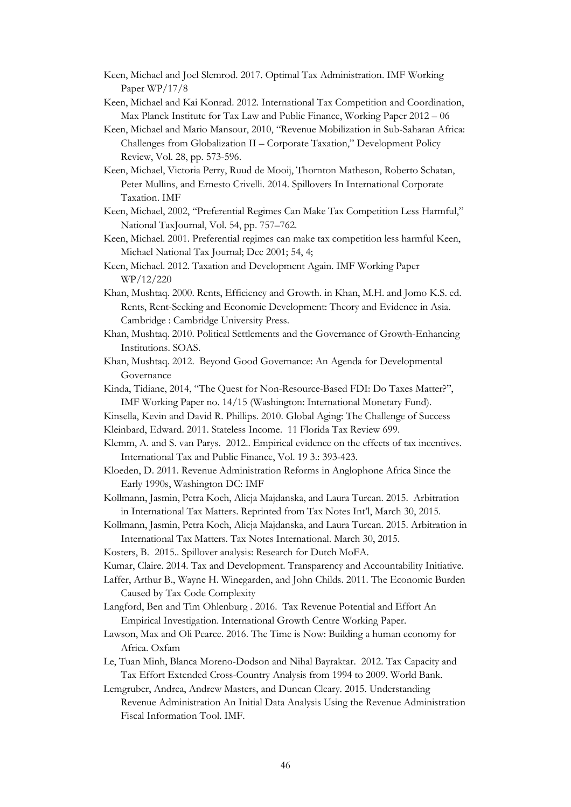- Keen, Michael and Joel Slemrod. 2017. Optimal Tax Administration. IMF Working Paper WP/17/8
- Keen, Michael and Kai Konrad. 2012. International Tax Competition and Coordination, Max Planck Institute for Tax Law and Public Finance, Working Paper 2012 – 06
- Keen, Michael and Mario Mansour, 2010, "Revenue Mobilization in Sub-Saharan Africa: Challenges from Globalization II – Corporate Taxation," Development Policy Review, Vol. 28, pp. 573-596.
- Keen, Michael, Victoria Perry, Ruud de Mooij, Thornton Matheson, Roberto Schatan, Peter Mullins, and Ernesto Crivelli. 2014. Spillovers In International Corporate Taxation. IMF
- Keen, Michael, 2002, "Preferential Regimes Can Make Tax Competition Less Harmful," National TaxJournal, Vol. 54, pp. 757–762.
- Keen, Michael. 2001. Preferential regimes can make tax competition less harmful Keen, Michael National Tax Journal; Dec 2001; 54, 4;
- Keen, Michael. 2012. Taxation and Development Again. IMF Working Paper WP/12/220
- Khan, Mushtaq. 2000. Rents, Efficiency and Growth. in Khan, M.H. and Jomo K.S. ed. Rents, Rent-Seeking and Economic Development: Theory and Evidence in Asia. Cambridge : Cambridge University Press.
- Khan, Mushtaq. 2010. Political Settlements and the Governance of Growth-Enhancing Institutions. SOAS.
- Khan, Mushtaq. 2012. Beyond Good Governance: An Agenda for Developmental Governance
- Kinda, Tidiane, 2014, "The Quest for Non-Resource-Based FDI: Do Taxes Matter?", IMF Working Paper no. 14/15 (Washington: International Monetary Fund).
- Kinsella, Kevin and David R. Phillips. 2010. Global Aging: The Challenge of Success
- Kleinbard, Edward. 2011. Stateless Income. 11 Florida Tax Review 699.
- Klemm, A. and S. van Parys. 2012.. Empirical evidence on the effects of tax incentives. International Tax and Public Finance, Vol. 19 3.: 393-423.
- Kloeden, D. 2011. Revenue Administration Reforms in Anglophone Africa Since the Early 1990s, Washington DC: IMF
- Kollmann, Jasmin, Petra Koch, Alicja Majdanska, and Laura Turcan. 2015. Arbitration in International Tax Matters. Reprinted from Tax Notes Int'l, March 30, 2015.
- Kollmann, Jasmin, Petra Koch, Alicja Majdanska, and Laura Turcan. 2015. Arbitration in International Tax Matters. Tax Notes International. March 30, 2015.
- Kosters, B. 2015.. Spillover analysis: Research for Dutch MoFA.
- Kumar, Claire. 2014. Tax and Development. Transparency and Accountability Initiative.
- Laffer, Arthur B., Wayne H. Winegarden, and John Childs. 2011. The Economic Burden Caused by Tax Code Complexity
- Langford, Ben and Tim Ohlenburg . 2016. Tax Revenue Potential and Effort An Empirical Investigation. International Growth Centre Working Paper.
- Lawson, Max and Oli Pearce. 2016. The Time is Now: Building a human economy for Africa. Oxfam
- Le, Tuan Minh, Blanca Moreno-Dodson and Nihal Bayraktar. 2012. Tax Capacity and Tax Effort Extended Cross-Country Analysis from 1994 to 2009. World Bank.
- Lemgruber, Andrea, Andrew Masters, and Duncan Cleary. 2015. Understanding Revenue Administration An Initial Data Analysis Using the Revenue Administration Fiscal Information Tool. IMF.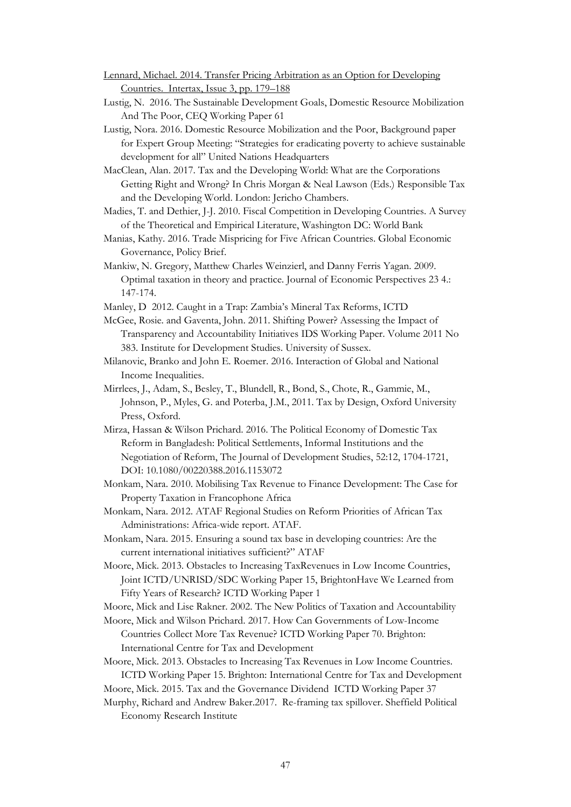- [Lennard, Michael. 2014. Transfer Pricing Arbitration as an Option for Developing](https://www.kluwerlawonline.com/preview.php?id=TAXI2014021)  [Countries. Intertax, Issue 3, pp. 179–188](https://www.kluwerlawonline.com/preview.php?id=TAXI2014021)
- Lustig, N. 2016. The Sustainable Development Goals, Domestic Resource Mobilization And The Poor, CEQ Working Paper 61
- Lustig, Nora. 2016. Domestic Resource Mobilization and the Poor, Background paper for Expert Group Meeting: "Strategies for eradicating poverty to achieve sustainable development for all" United Nations Headquarters
- MacClean, Alan. 2017. Tax and the Developing World: What are the Corporations Getting Right and Wrong? In Chris Morgan & Neal Lawson (Eds.) Responsible Tax and the Developing World. London: Jericho Chambers.
- Madies, T. and Dethier, J-J. 2010. Fiscal Competition in Developing Countries. A Survey of the Theoretical and Empirical Literature, Washington DC: World Bank
- Manias, Kathy. 2016. Trade Mispricing for Five African Countries. Global Economic Governance, Policy Brief.
- Mankiw, N. Gregory, Matthew Charles Weinzierl, and Danny Ferris Yagan. 2009. Optimal taxation in theory and practice. Journal of Economic Perspectives 23 4.: 147-174.
- Manley, D 2012. Caught in a Trap: Zambia's Mineral Tax Reforms, ICTD
- McGee, Rosie. and Gaventa, John. 2011. Shifting Power? Assessing the Impact of Transparency and Accountability Initiatives IDS Working Paper. Volume 2011 No 383. Institute for Development Studies. University of Sussex.
- Milanovic, Branko and John E. Roemer. 2016. Interaction of Global and National Income Inequalities.
- Mirrlees, J., Adam, S., Besley, T., Blundell, R., Bond, S., Chote, R., Gammie, M., Johnson, P., Myles, G. and Poterba, J.M., 2011. Tax by Design, Oxford University Press, Oxford.
- Mirza, Hassan & Wilson Prichard. 2016. The Political Economy of Domestic Tax Reform in Bangladesh: Political Settlements, Informal Institutions and the Negotiation of Reform, The Journal of Development Studies, 52:12, 1704-1721, DOI: 10.1080/00220388.2016.1153072
- Monkam, Nara. 2010. Mobilising Tax Revenue to Finance Development: The Case for Property Taxation in Francophone Africa
- Monkam, Nara. 2012. ATAF Regional Studies on Reform Priorities of African Tax Administrations: Africa-wide report. ATAF.
- Monkam, Nara. 2015. Ensuring a sound tax base in developing countries: Are the current international initiatives sufficient?" ATAF
- Moore, Mick. 2013. Obstacles to Increasing TaxRevenues in Low Income Countries, Joint ICTD/UNRISD/SDC Working Paper 15, BrightonHave We Learned from Fifty Years of Research? ICTD Working Paper 1
- Moore, Mick and Lise Rakner. 2002. The New Politics of Taxation and Accountability
- Moore, Mick and Wilson Prichard. 2017. How Can Governments of Low-Income Countries Collect More Tax Revenue? ICTD Working Paper 70. Brighton: International Centre for Tax and Development
- Moore, Mick. 2013. Obstacles to Increasing Tax Revenues in Low Income Countries. ICTD Working Paper 15. Brighton: International Centre for Tax and Development
- Moore, Mick. 2015. Tax and the Governance Dividend ICTD Working Paper 37
- Murphy, Richard and Andrew Baker.2017. Re-framing tax spillover. Sheffield Political Economy Research Institute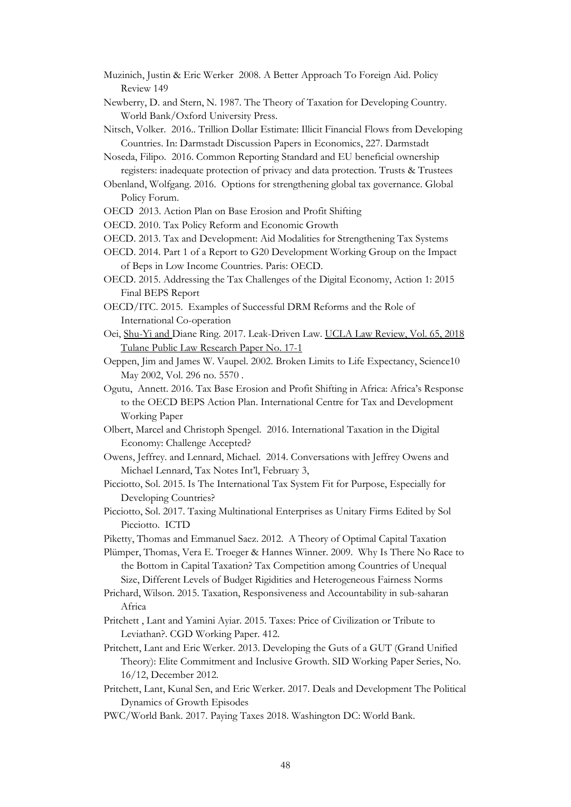- Muzinich, Justin & Eric Werker 2008. A Better Approach To Foreign Aid. Policy Review 149
- Newberry, D. and Stern, N. 1987. The Theory of Taxation for Developing Country. World Bank/Oxford University Press.
- Nitsch, Volker. 2016.. Trillion Dollar Estimate: Illicit Financial Flows from Developing Countries. In: Darmstadt Discussion Papers in Economics, 227. Darmstadt
- Noseda, Filipo. 2016. Common Reporting Standard and EU beneficial ownership registers: inadequate protection of privacy and data protection. Trusts & Trustees
- Obenland, Wolfgang. 2016. Options for strengthening global tax governance. Global Policy Forum.
- OECD 2013. Action Plan on Base Erosion and Profit Shifting
- OECD. 2010. Tax Policy Reform and Economic Growth
- OECD. 2013. Tax and Development: Aid Modalities for Strengthening Tax Systems
- OECD. 2014. Part 1 of a Report to G20 Development Working Group on the Impact of Beps in Low Income Countries. Paris: OECD.
- OECD. 2015. Addressing the Tax Challenges of the Digital Economy, Action 1: 2015 Final BEPS Report
- OECD/ITC. 2015. Examples of Successful DRM Reforms and the Role of International Co-operation
- Oei, [Shu-Yi and D](https://papers.ssrn.com/sol3/cf_dev/AbsByAuth.cfm?per_id=1309808)iane Ring. 2017. Leak-Driven Law. [UCLA Law Review, Vol. 65, 2018](https://papers.ssrn.com/sol3/papers.cfm?abstract_id=2918550##) [Tulane Public Law Research Paper No. 17-1](https://papers.ssrn.com/sol3/papers.cfm?abstract_id=2918550##)
- Oeppen, Jim and James W. Vaupel. 2002. Broken Limits to Life Expectancy, Science10 May 2002, Vol. 296 no. 5570 .
- Ogutu, Annett. 2016. Tax Base Erosion and Profit Shifting in Africa: Africa's Response to the OECD BEPS Action Plan. International Centre for Tax and Development Working Paper
- Olbert, Marcel and Christoph Spengel. 2016. International Taxation in the Digital Economy: Challenge Accepted?
- Owens, Jeffrey. and Lennard, Michael. 2014. Conversations with Jeffrey Owens and Michael Lennard, Tax Notes Int'l, February 3,
- Picciotto, Sol. 2015. Is The International Tax System Fit for Purpose, Especially for Developing Countries?
- Picciotto, Sol. 2017. Taxing Multinational Enterprises as Unitary Firms Edited by Sol Picciotto. ICTD
- Piketty, Thomas and Emmanuel Saez. 2012. A Theory of Optimal Capital Taxation
- Plümper, Thomas, Vera E. Troeger & Hannes Winner. 2009. Why Is There No Race to the Bottom in Capital Taxation? Tax Competition among Countries of Unequal Size, Different Levels of Budget Rigidities and Heterogeneous Fairness Norms
- Prichard, Wilson. 2015. Taxation, Responsiveness and Accountability in sub-saharan Africa
- Pritchett , Lant and Yamini Ayiar. 2015. Taxes: Price of Civilization or Tribute to Leviathan?. CGD Working Paper. 412.
- Pritchett, Lant and Eric Werker. 2013. Developing the Guts of a GUT (Grand Unified Theory): Elite Commitment and Inclusive Growth. SID Working Paper Series, No. 16/12, December 2012.
- Pritchett, Lant, Kunal Sen, and Eric Werker. 2017. Deals and Development The Political Dynamics of Growth Episodes
- PWC/World Bank. 2017. Paying Taxes 2018. Washington DC: World Bank.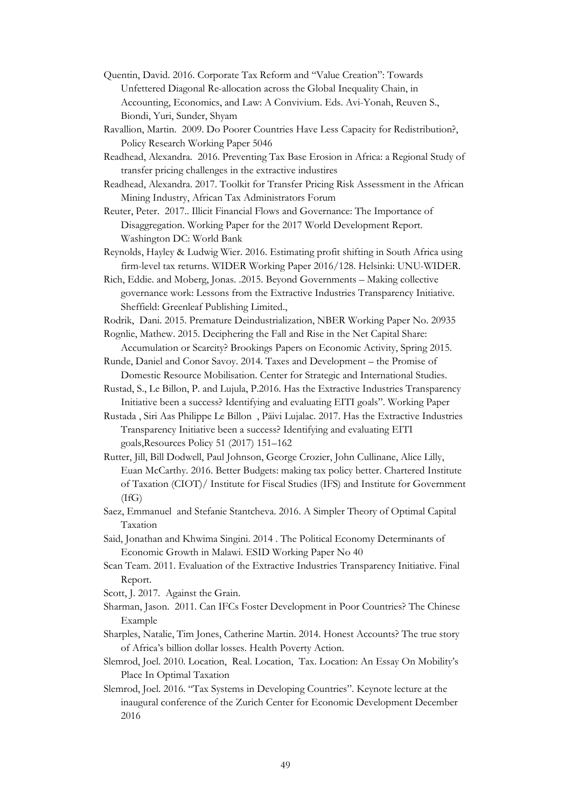- Quentin, David. 2016. Corporate Tax Reform and "Value Creation": Towards Unfettered Diagonal Re-allocation across the Global Inequality Chain, in Accounting, Economics, and Law: A Convivium. Eds. Avi-Yonah, Reuven S., Biondi, Yuri, Sunder, Shyam
- Ravallion, Martin. 2009. Do Poorer Countries Have Less Capacity for Redistribution?, Policy Research Working Paper 5046
- Readhead, Alexandra. 2016. Preventing Tax Base Erosion in Africa: a Regional Study of transfer pricing challenges in the extractive industires
- Readhead, Alexandra. 2017. Toolkit for Transfer Pricing Risk Assessment in the African Mining Industry, African Tax Administrators Forum

Reuter, Peter. 2017.. Illicit Financial Flows and Governance: The Importance of Disaggregation. Working Paper for the 2017 World Development Report. Washington DC: World Bank

Reynolds, Hayley & Ludwig Wier. 2016. Estimating profit shifting in South Africa using firm-level tax returns. WIDER Working Paper 2016/128. Helsinki: UNU-WIDER.

- Rich, Eddie. and Moberg, Jonas. .2015. Beyond Governments Making collective governance work: Lessons from the Extractive Industries Transparency Initiative. Sheffield: Greenleaf Publishing Limited.,
- Rodrik, Dani. 2015. Premature Deindustrialization, NBER Working Paper No. 20935

Rognlie, Mathew. 2015. Deciphering the Fall and Rise in the Net Capital Share: Accumulation or Scarcity? Brookings Papers on Economic Activity, Spring 2015.

- Runde, Daniel and Conor Savoy. 2014. Taxes and Development the Promise of Domestic Resource Mobilisation. Center for Strategic and International Studies.
- Rustad, S., Le Billon, P. and Lujula, P.2016. Has the Extractive Industries Transparency Initiative been a success? Identifying and evaluating EITI goals". Working Paper
- Rustada , Siri Aas Philippe Le Billon , Päivi Lujalac. 2017. Has the Extractive Industries Transparency Initiative been a success? Identifying and evaluating EITI goals,Resources Policy 51 (2017) 151–162
- Rutter, Jill, Bill Dodwell, Paul Johnson, George Crozier, John Cullinane, Alice Lilly, Euan McCarthy. 2016. Better Budgets: making tax policy better. Chartered Institute of Taxation (CIOT)/ Institute for Fiscal Studies (IFS) and Institute for Government (IfG)
- Saez, Emmanuel and Stefanie Stantcheva. 2016. A Simpler Theory of Optimal Capital Taxation
- Said, Jonathan and Khwima Singini. 2014 . The Political Economy Determinants of Economic Growth in Malawi. ESID Working Paper No 40
- Scan Team. 2011. Evaluation of the Extractive Industries Transparency Initiative. Final Report.
- Scott, J. 2017. Against the Grain.
- Sharman, Jason. 2011. Can IFCs Foster Development in Poor Countries? The Chinese Example
- Sharples, Natalie, Tim Jones, Catherine Martin. 2014. Honest Accounts? The true story of Africa's billion dollar losses. Health Poverty Action.
- Slemrod, Joel. 2010. Location, Real. Location, Tax. Location: An Essay On Mobility's Place In Optimal Taxation
- Slemrod, Joel. 2016. "Tax Systems in Developing Countries". Keynote lecture at the inaugural conference of the Zurich Center for Economic Development December 2016